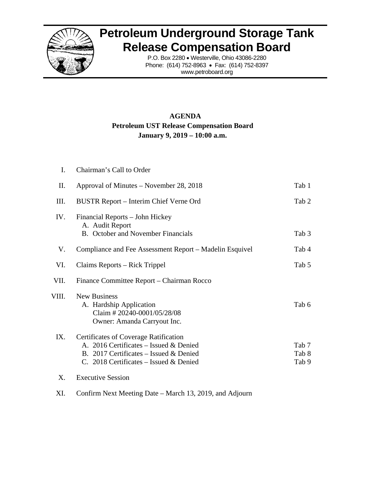

## **Petroleum Underground Storage Tank Release Compensation Board**

P.O. Box 2280 • Westerville, Ohio 43086-2280 Phone: (614) 752-8963 • Fax: (614) 752-8397 www.petroboard.org

## **AGENDA Petroleum UST Release Compensation Board January 9, 2019 – 10:00 a.m.**

| Ι.    | Chairman's Call to Order                                                                                                                                                   |                         |
|-------|----------------------------------------------------------------------------------------------------------------------------------------------------------------------------|-------------------------|
| Π.    | Approval of Minutes – November 28, 2018                                                                                                                                    | Tab 1                   |
| III.  | BUSTR Report - Interim Chief Verne Ord                                                                                                                                     | Tab 2                   |
| IV.   | Financial Reports – John Hickey<br>A. Audit Report<br><b>B.</b> October and November Financials                                                                            | Tab 3                   |
| V.    | Compliance and Fee Assessment Report – Madelin Esquivel                                                                                                                    | Tab 4                   |
| VI.   | Claims Reports – Rick Trippel                                                                                                                                              | Tab 5                   |
| VII.  | Finance Committee Report – Chairman Rocco                                                                                                                                  |                         |
| VIII. | <b>New Business</b><br>A. Hardship Application<br>Claim #20240-0001/05/28/08<br>Owner: Amanda Carryout Inc.                                                                | Tab 6                   |
| IX.   | <b>Certificates of Coverage Ratification</b><br>A. 2016 Certificates – Issued & Denied<br>B. 2017 Certificates – Issued & Denied<br>C. 2018 Certificates – Issued & Denied | Tab 7<br>Tab 8<br>Tab 9 |
| X.    | <b>Executive Session</b>                                                                                                                                                   |                         |

XI. Confirm Next Meeting Date – March 13, 2019, and Adjourn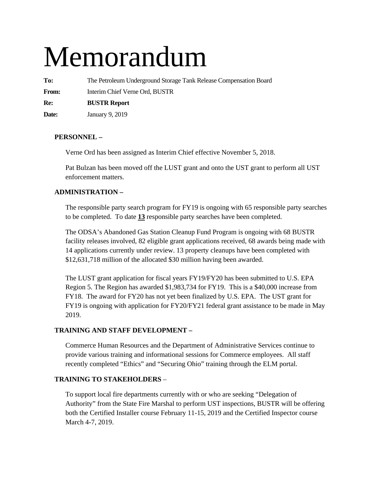# Memorandum

**To:** The Petroleum Underground Storage Tank Release Compensation Board **From:** Interim Chief Verne Ord, BUSTR **Re: BUSTR Report** 

**Date:** January 9, 2019

#### **PERSONNEL –**

Verne Ord has been assigned as Interim Chief effective November 5, 2018.

Pat Bulzan has been moved off the LUST grant and onto the UST grant to perform all UST enforcement matters.

#### **ADMINISTRATION –**

The responsible party search program for FY19 is ongoing with 65 responsible party searches to be completed. To date **13** responsible party searches have been completed.

The ODSA's Abandoned Gas Station Cleanup Fund Program is ongoing with 68 BUSTR facility releases involved, 82 eligible grant applications received, 68 awards being made with 14 applications currently under review. 13 property cleanups have been completed with \$12,631,718 million of the allocated \$30 million having been awarded.

The LUST grant application for fiscal years FY19/FY20 has been submitted to U.S. EPA Region 5. The Region has awarded \$1,983,734 for FY19. This is a \$40,000 increase from FY18. The award for FY20 has not yet been finalized by U.S. EPA. The UST grant for FY19 is ongoing with application for FY20/FY21 federal grant assistance to be made in May 2019.

#### **TRAINING AND STAFF DEVELOPMENT –**

Commerce Human Resources and the Department of Administrative Services continue to provide various training and informational sessions for Commerce employees. All staff recently completed "Ethics" and "Securing Ohio" training through the ELM portal.

#### **TRAINING TO STAKEHOLDERS** –

To support local fire departments currently with or who are seeking "Delegation of Authority" from the State Fire Marshal to perform UST inspections, BUSTR will be offering both the Certified Installer course February 11-15, 2019 and the Certified Inspector course March 4-7, 2019.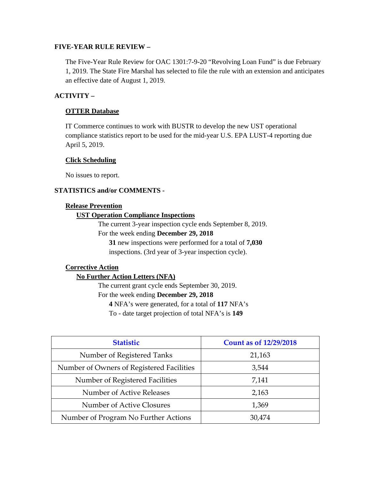#### **FIVE-YEAR RULE REVIEW –**

The Five-Year Rule Review for OAC 1301:7-9-20 "Revolving Loan Fund" is due February 1, 2019. The State Fire Marshal has selected to file the rule with an extension and anticipates an effective date of August 1, 2019.

#### **ACTIVITY –**

#### **OTTER Database**

IT Commerce continues to work with BUSTR to develop the new UST operational compliance statistics report to be used for the mid-year U.S. EPA LUST-4 reporting due April 5, 2019.

#### **Click Scheduling**

No issues to report.

#### **STATISTICS and/or COMMENTS -**

#### **Release Prevention**

#### **UST Operation Compliance Inspections**

The current 3-year inspection cycle ends September 8, 2019.

For the week ending **December 29, 2018** 

**31** new inspections were performed for a total of **7,030**

inspections. (3rd year of 3-year inspection cycle).

#### **Corrective Action**

#### **No Further Action Letters (NFA)**

The current grant cycle ends September 30, 2019.

For the week ending **December 29, 2018** 

**4** NFA's were generated, for a total of **117** NFA's

To - date target projection of total NFA's is **149** 

| <b>Statistic</b>                          | <b>Count as of 12/29/2018</b> |
|-------------------------------------------|-------------------------------|
| Number of Registered Tanks                | 21,163                        |
| Number of Owners of Registered Facilities | 3,544                         |
| Number of Registered Facilities           | 7,141                         |
| Number of Active Releases                 | 2,163                         |
| Number of Active Closures                 | 1,369                         |
| Number of Program No Further Actions      | 30,474                        |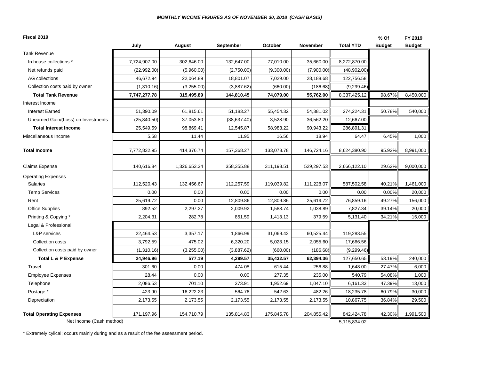| Fiscal 2019                                                 |              |              |              |            |                 |                            | % Of          | FY 2019       |
|-------------------------------------------------------------|--------------|--------------|--------------|------------|-----------------|----------------------------|---------------|---------------|
|                                                             | July         | August       | September    | October    | <b>November</b> | <b>Total YTD</b>           | <b>Budget</b> | <b>Budget</b> |
| <b>Tank Revenue</b>                                         |              |              |              |            |                 |                            |               |               |
| In house collections *                                      | 7,724,907.00 | 302,646.00   | 132,647.00   | 77,010.00  | 35,660.00       | 8,272,870.00               |               |               |
| Net refunds paid                                            | (22,992.00)  | (5,960.00)   | (2,750.00)   | (9,300.00) | (7,900.00)      | (48,902.00)                |               |               |
| AG collections                                              | 46,672.94    | 22,064.89    | 18,801.07    | 7,029.00   | 28,188.68       | 122,756.58                 |               |               |
| Collection costs paid by owner                              | (1,310.16)   | (3,255.00)   | (3,887.62)   | (660.00)   | (186.68)        | (9, 299.46)                |               |               |
| <b>Total Tank Revenue</b>                                   | 7,747,277.78 | 315,495.89   | 144,810.45   | 74,079.00  | 55,762.00       | 8,337,425.12               | 98.67%        | 8,450,000     |
| Interest Income                                             |              |              |              |            |                 |                            |               |               |
| <b>Interest Earned</b>                                      | 51,390.09    | 61,815.61    | 51,183.27    | 55,454.32  | 54,381.02       | 274,224.31                 | 50.78%        | 540,000       |
| Unearned Gain/(Loss) on Investments                         | (25, 840.50) | 37,053.80    | (38, 637.40) | 3,528.90   | 36,562.20       | 12,667.00                  |               |               |
| <b>Total Interest Income</b>                                | 25,549.59    | 98,869.41    | 12,545.87    | 58,983.22  | 90,943.22       | 286,891.31                 |               |               |
| Miscellaneous Income                                        | 5.58         | 11.44        | 11.95        | 16.56      | 18.94           | 64.47                      | 6.45%         | 1,000         |
| <b>Total Income</b>                                         | 7,772,832.95 | 414,376.74   | 157,368.27   | 133,078.78 | 146,724.16      | 8,624,380.90               | 95.92%        | 8,991,000     |
| <b>Claims Expense</b>                                       | 140,616.84   | 1,326,653.34 | 358,355.88   | 311,198.51 | 529,297.53      | 2,666,122.10               | 29.62%        | 9,000,000     |
| <b>Operating Expenses</b>                                   |              |              |              |            |                 |                            |               |               |
| <b>Salaries</b>                                             | 112,520.43   | 132,456.67   | 112,257.59   | 119,039.82 | 111,228.07      | 587,502.58                 | 40.21%        | 1,461,000     |
| <b>Temp Services</b>                                        | 0.00         | 0.00         | 0.00         | 0.00       | 0.00            | 0.00                       | 0.00%         | 20,000        |
| Rent                                                        | 25,619.72    | 0.00         | 12,809.86    | 12,809.86  | 25,619.72       | 76,859.16                  | 49.27%        | 156,000       |
| Office Supplies                                             | 892.52       | 2,297.27     | 2,009.92     | 1,588.74   | 1,038.89        | 7,827.34                   | 39.14%        | 20,000        |
| Printing & Copying *                                        | 2,204.31     | 282.78       | 851.59       | 1,413.13   | 379.59          | 5,131.40                   | 34.21%        | 15,000        |
| Legal & Professional                                        |              |              |              |            |                 |                            |               |               |
| L&P services                                                | 22,464.53    | 3,357.17     | 1,866.99     | 31,069.42  | 60,525.44       | 119,283.55                 |               |               |
| Collection costs                                            | 3,792.59     | 475.02       | 6,320.20     | 5,023.15   | 2,055.60        | 17,666.56                  |               |               |
| Collection costs paid by owner                              | (1,310.16)   | (3,255.00)   | (3,887.62)   | (660.00)   | (186.68)        | (9, 299.46)                |               |               |
| Total L & P Expense                                         | 24,946.96    | 577.19       | 4,299.57     | 35,432.57  | 62,394.36       | 127,650.65                 | 53.19%        | 240,000       |
| Travel                                                      | 301.60       | 0.00         | 474.08       | 615.44     | 256.88          | 1,648.00                   | 27.47%        | 6,000         |
| <b>Employee Expenses</b>                                    | 28.44        | 0.00         | 0.00         | 277.35     | 235.00          | 540.79                     | 54.08%        | 1,000         |
| Telephone                                                   | 2,086.53     | 701.10       | 373.91       | 1,952.69   | 1,047.10        | 6,161.33                   | 47.39%        | 13,000        |
| Postage *                                                   | 423.90       | 16,222.23    | 564.76       | 542.63     | 482.26          | 18,235.78                  | 60.79%        | 30,000        |
| Depreciation                                                | 2,173.55     | 2,173.55     | 2,173.55     | 2,173.55   | 2,173.55        | 10,867.75                  | 36.84%        | 29,500        |
| <b>Total Operating Expenses</b><br>Net Income (Cash method) | 171,197.96   | 154,710.79   | 135,814.83   | 175,845.78 | 204,855.42      | 842,424.78<br>5,115,834.02 | 42.30%        | 1,991,500     |

\* Extremely cylical; occurs mainly during and as a result of the fee assessment period.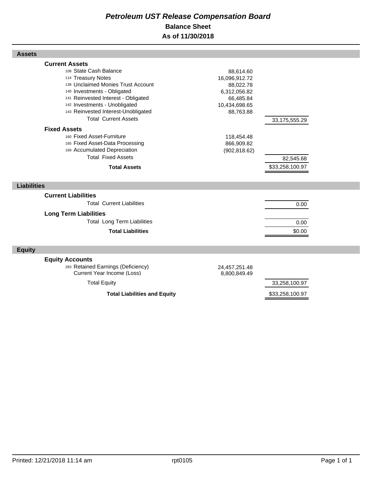## *Petroleum UST Release Compensation Board*  **Balance Sheet As of 11/30/2018**

| <b>Fixed Assets</b>          | 108 State Cash Balance<br>114 Treasury Notes<br>138 Unclaimed Monies Trust Account<br>140 Investments - Obligated<br>141 Reinvested Interest - Obligated<br>142 Investments - Unobligated<br>143 Reinvested Interest-Unobligated<br><b>Total Current Assets</b> | 88,614.60<br>16,096,912.72<br>88,022.78<br>6,312,056.82<br>66,485.84<br>10,434,698.65<br>88,763.88 | 33,175,555.29   |  |
|------------------------------|-----------------------------------------------------------------------------------------------------------------------------------------------------------------------------------------------------------------------------------------------------------------|----------------------------------------------------------------------------------------------------|-----------------|--|
|                              | 160 Fixed Asset-Furniture<br>165 Fixed Asset-Data Processing<br>169 Accumulated Depreciation<br><b>Total Fixed Assets</b>                                                                                                                                       | 118,454.48<br>866,909.82<br>(902, 818.62)                                                          | 82,545.68       |  |
|                              | <b>Total Assets</b>                                                                                                                                                                                                                                             |                                                                                                    | \$33,258,100.97 |  |
| <b>Liabilities</b>           |                                                                                                                                                                                                                                                                 |                                                                                                    |                 |  |
| <b>Current Liabilities</b>   | <b>Total Current Liabilities</b>                                                                                                                                                                                                                                |                                                                                                    | 0.00            |  |
| <b>Long Term Liabilities</b> | <b>Total Long Term Liabilities</b>                                                                                                                                                                                                                              |                                                                                                    | 0.00            |  |
|                              | <b>Total Liabilities</b>                                                                                                                                                                                                                                        |                                                                                                    | \$0.00          |  |
| <b>Equity</b>                |                                                                                                                                                                                                                                                                 |                                                                                                    |                 |  |
| <b>Equity Accounts</b>       | 283 Retained Earnings (Deficiency)<br><b>Current Year Income (Loss)</b>                                                                                                                                                                                         | 24,457,251.48<br>8,800,849.49                                                                      | 33,258,100.97   |  |
|                              | <b>Total Equity</b>                                                                                                                                                                                                                                             |                                                                                                    |                 |  |

Total Liabilities and Equity **\$33,258,100.97** 

Printed: 12/21/2018 11:14 am rpt0105 rpt0105 rpt0105

**Assets**

**Current Assets**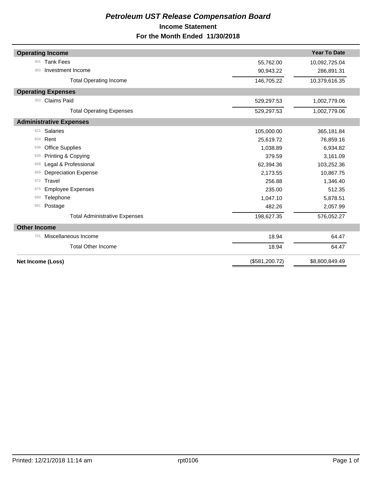## *Petroleum UST Release Compensation Board*  **Income Statement For the Month Ended 11/30/2018**

| <b>Operating Income</b>              |                | <b>Year To Date</b> |
|--------------------------------------|----------------|---------------------|
|                                      |                |                     |
| <b>Tank Fees</b><br>301              | 55,762.00      | 10,092,725.04       |
| Investment Income<br>303             | 90,943.22      | 286,891.31          |
| <b>Total Operating Income</b>        | 146,705.22     | 10,379,616.35       |
| <b>Operating Expenses</b>            |                |                     |
| <b>Claims Paid</b><br>350            | 529,297.53     | 1,002,779.06        |
| <b>Total Operating Expenses</b>      | 529,297.53     | 1,002,779.06        |
| <b>Administrative Expenses</b>       |                |                     |
| <b>Salaries</b><br>621               | 105,000.00     | 365,181.84          |
| Rent<br>634                          | 25,619.72      | 76,859.16           |
| <b>Office Supplies</b><br>638        | 1,038.89       | 6,934.82            |
| Printing & Copying<br>639            | 379.59         | 3,161.09            |
| Legal & Professional<br>668          | 62,394.36      | 103,252.36          |
| <b>Depreciation Expense</b><br>669   | 2,173.55       | 10,867.75           |
| Travel<br>672                        | 256.88         | 1,346.40            |
| <b>Employee Expenses</b><br>675      | 235.00         | 512.35              |
| Telephone<br>680                     | 1,047.10       | 5,878.51            |
| Postage<br>681                       | 482.26         | 2,057.99            |
| <b>Total Administrative Expenses</b> | 198,627.35     | 576,052.27          |
| <b>Other Income</b>                  |                |                     |
| Miscellaneous Income<br>701          | 18.94          | 64.47               |
| <b>Total Other Income</b>            | 18.94          | 64.47               |
| Net Income (Loss)                    | (\$581,200.72) | \$8,800,849.49      |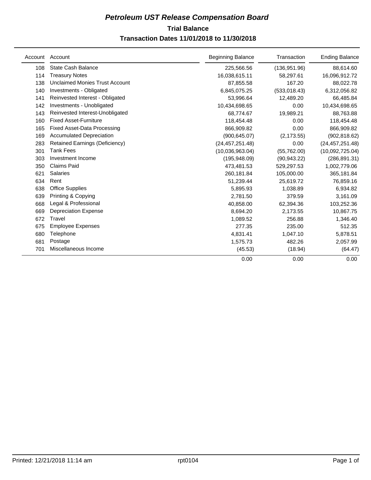## **Trial Balance** *Petroleum UST Release Compensation Board*

#### **Transaction Dates 11/01/2018 to 11/30/2018**

| Account | Account                               | <b>Beginning Balance</b> | Transaction   | <b>Ending Balance</b> |
|---------|---------------------------------------|--------------------------|---------------|-----------------------|
| 108     | <b>State Cash Balance</b>             | 225,566.56               | (136, 951.96) | 88,614.60             |
| 114     | <b>Treasury Notes</b>                 | 16,038,615.11            | 58,297.61     | 16,096,912.72         |
| 138     | <b>Unclaimed Monies Trust Account</b> | 87,855.58                | 167.20        | 88,022.78             |
| 140     | Investments - Obligated               | 6,845,075.25             | (533, 018.43) | 6,312,056.82          |
| 141     | Reinvested Interest - Obligated       | 53,996.64                | 12,489.20     | 66,485.84             |
| 142     | Investments - Unobligated             | 10,434,698.65            | 0.00          | 10,434,698.65         |
| 143     | Reinvested Interest-Unobligated       | 68,774.67                | 19,989.21     | 88,763.88             |
| 160     | <b>Fixed Asset-Furniture</b>          | 118,454.48               | 0.00          | 118,454.48            |
| 165     | <b>Fixed Asset-Data Processing</b>    | 866,909.82               | 0.00          | 866,909.82            |
| 169     | <b>Accumulated Depreciation</b>       | (900, 645.07)            | (2, 173.55)   | (902, 818.62)         |
| 283     | <b>Retained Earnings (Deficiency)</b> | (24, 457, 251.48)        | 0.00          | (24, 457, 251.48)     |
| 301     | <b>Tank Fees</b>                      | (10,036,963.04)          | (55,762.00)   | (10,092,725.04)       |
| 303     | Investment Income                     | (195,948.09)             | (90, 943.22)  | (286, 891.31)         |
| 350     | <b>Claims Paid</b>                    | 473,481.53               | 529,297.53    | 1,002,779.06          |
| 621     | <b>Salaries</b>                       | 260,181.84               | 105,000.00    | 365,181.84            |
| 634     | Rent                                  | 51,239.44                | 25,619.72     | 76,859.16             |
| 638     | <b>Office Supplies</b>                | 5,895.93                 | 1,038.89      | 6,934.82              |
| 639     | Printing & Copying                    | 2,781.50                 | 379.59        | 3,161.09              |
| 668     | Legal & Professional                  | 40,858.00                | 62,394.36     | 103,252.36            |
| 669     | <b>Depreciation Expense</b>           | 8,694.20                 | 2,173.55      | 10,867.75             |
| 672     | Travel                                | 1,089.52                 | 256.88        | 1,346.40              |
| 675     | <b>Employee Expenses</b>              | 277.35                   | 235.00        | 512.35                |
| 680     | Telephone                             | 4,831.41                 | 1,047.10      | 5,878.51              |
| 681     | Postage                               | 1,575.73                 | 482.26        | 2,057.99              |
| 701     | Miscellaneous Income                  | (45.53)                  | (18.94)       | (64.47)               |
|         |                                       | 0.00                     | 0.00          | 0.00                  |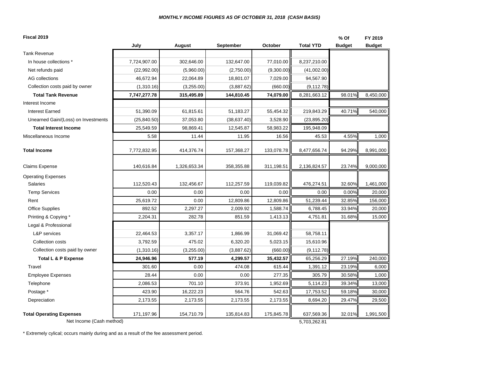| Fiscal 2019                         |              |               |              |            |                  | $%$ Of        | FY 2019       |
|-------------------------------------|--------------|---------------|--------------|------------|------------------|---------------|---------------|
|                                     | July         | <b>August</b> | September    | October    | <b>Total YTD</b> | <b>Budget</b> | <b>Budget</b> |
| <b>Tank Revenue</b>                 |              |               |              |            |                  |               |               |
| In house collections *              | 7,724,907.00 | 302,646.00    | 132,647.00   | 77,010.00  | 8,237,210.00     |               |               |
| Net refunds paid                    | (22,992.00)  | (5,960.00)    | (2,750.00)   | (9,300.00) | (41,002.00)      |               |               |
| AG collections                      | 46,672.94    | 22,064.89     | 18,801.07    | 7,029.00   | 94,567.90        |               |               |
| Collection costs paid by owner      | (1,310.16)   | (3,255.00)    | (3,887.62)   | (660.00)   | (9, 112.78)      |               |               |
| <b>Total Tank Revenue</b>           | 7,747,277.78 | 315,495.89    | 144,810.45   | 74,079.00  | 8,281,663.12     | 98.01%        | 8,450,000     |
| Interest Income                     |              |               |              |            |                  |               |               |
| <b>Interest Earned</b>              | 51,390.09    | 61,815.61     | 51,183.27    | 55,454.32  | 219,843.29       | 40.71%        | 540,000       |
| Unearned Gain/(Loss) on Investments | (25, 840.50) | 37,053.80     | (38, 637.40) | 3,528.90   | (23,895.20)      |               |               |
| <b>Total Interest Income</b>        | 25,549.59    | 98,869.41     | 12,545.87    | 58,983.22  | 195,948.09       |               |               |
| Miscellaneous Income                | 5.58         | 11.44         | 11.95        | 16.56      | 45.53            | 4.55%         | 1,000         |
| <b>Total Income</b>                 | 7,772,832.95 | 414,376.74    | 157,368.27   | 133,078.78 | 8,477,656.74     | 94.29%        | 8,991,000     |
| <b>Claims Expense</b>               | 140,616.84   | 1,326,653.34  | 358,355.88   | 311,198.51 | 2,136,824.57     | 23.74%        | 9,000,000     |
| <b>Operating Expenses</b>           |              |               |              |            |                  |               |               |
| <b>Salaries</b>                     | 112,520.43   | 132,456.67    | 112,257.59   | 119,039.82 | 476,274.51       | 32.60%        | 1,461,000     |
| <b>Temp Services</b>                | 0.00         | 0.00          | 0.00         | 0.00       | 0.00             | 0.00%         | 20,000        |
| Rent                                | 25,619.72    | 0.00          | 12,809.86    | 12,809.86  | 51,239.44        | 32.85%        | 156,000       |
| Office Supplies                     | 892.52       | 2,297.27      | 2,009.92     | 1,588.74   | 6,788.45         | 33.94%        | 20,000        |
| Printing & Copying *                | 2,204.31     | 282.78        | 851.59       | 1,413.13   | 4,751.81         | 31.68%        | 15,000        |
| Legal & Professional                |              |               |              |            |                  |               |               |
| L&P services                        | 22,464.53    | 3,357.17      | 1,866.99     | 31,069.42  | 58,758.11        |               |               |
| Collection costs                    | 3,792.59     | 475.02        | 6,320.20     | 5,023.15   | 15,610.96        |               |               |
| Collection costs paid by owner      | (1,310.16)   | (3,255.00)    | (3,887.62)   | (660.00)   | (9, 112.78)      |               |               |
| Total L & P Expense                 | 24,946.96    | 577.19        | 4,299.57     | 35,432.57  | 65,256.29        | 27.19%        | 240,000       |
| Travel                              | 301.60       | 0.00          | 474.08       | 615.44     | 1,391.12         | 23.19%        | 6,000         |
| <b>Employee Expenses</b>            | 28.44        | 0.00          | 0.00         | 277.35     | 305.79           | 30.58%        | 1,000         |
| Telephone                           | 2,086.53     | 701.10        | 373.91       | 1,952.69   | 5,114.23         | 39.34%        | 13,000        |
| Postage *                           | 423.90       | 16,222.23     | 564.76       | 542.63     | 17,753.52        | 59.18%        | 30,000        |
| Depreciation                        | 2,173.55     | 2,173.55      | 2,173.55     | 2,173.55   | 8,694.20         | 29.47%        | 29,500        |
| <b>Total Operating Expenses</b>     | 171,197.96   | 154,710.79    | 135,814.83   | 175,845.78 | 637,569.36       | 32.01%        | 1,991,500     |
| Net Income (Cash method)            |              |               |              |            | 5,703,262.81     |               |               |

\* Extremely cylical; occurs mainly during and as a result of the fee assessment period.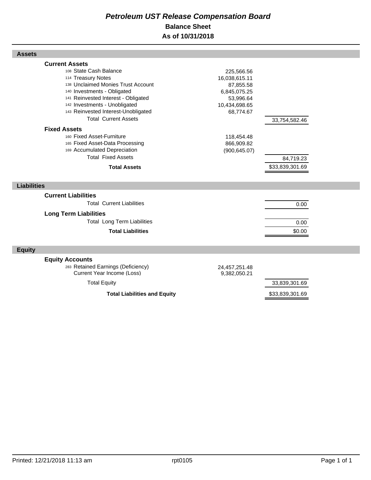## *Petroleum UST Release Compensation Board*  **Balance Sheet As of 10/31/2018**

| 108 State Cash Balance<br>114 Treasury Notes<br>138 Unclaimed Monies Trust Account<br>140 Investments - Obligated<br>141 Reinvested Interest - Obligated<br>142 Investments - Unobligated<br>143 Reinvested Interest-Unobligated | 225,566.56<br>16,038,615.11<br>87,855.58<br>6,845,075.25<br>53,996.64<br>10,434,698.65<br>68,774.67 |                 |  |
|----------------------------------------------------------------------------------------------------------------------------------------------------------------------------------------------------------------------------------|-----------------------------------------------------------------------------------------------------|-----------------|--|
| <b>Total Current Assets</b>                                                                                                                                                                                                      |                                                                                                     | 33,754,582.46   |  |
| <b>Fixed Assets</b>                                                                                                                                                                                                              |                                                                                                     |                 |  |
| 160 Fixed Asset-Furniture<br>165 Fixed Asset-Data Processing<br>169 Accumulated Depreciation<br><b>Total Fixed Assets</b>                                                                                                        | 118,454.48<br>866,909.82<br>(900, 645.07)                                                           | 84,719.23       |  |
| <b>Total Assets</b>                                                                                                                                                                                                              |                                                                                                     | \$33,839,301.69 |  |
|                                                                                                                                                                                                                                  |                                                                                                     |                 |  |
| <b>Liabilities</b>                                                                                                                                                                                                               |                                                                                                     |                 |  |
| <b>Current Liabilities</b>                                                                                                                                                                                                       |                                                                                                     |                 |  |
| <b>Total Current Liabilities</b>                                                                                                                                                                                                 |                                                                                                     | 0.00            |  |
| <b>Long Term Liabilities</b>                                                                                                                                                                                                     |                                                                                                     |                 |  |
| <b>Total Long Term Liabilities</b>                                                                                                                                                                                               |                                                                                                     | 0.00            |  |
| <b>Total Liabilities</b>                                                                                                                                                                                                         |                                                                                                     | \$0.00          |  |
|                                                                                                                                                                                                                                  |                                                                                                     |                 |  |
| <b>Equity</b>                                                                                                                                                                                                                    |                                                                                                     |                 |  |
| <b>Equity Accounts</b>                                                                                                                                                                                                           |                                                                                                     |                 |  |
| 283 Retained Earnings (Deficiency)<br><b>Current Year Income (Loss)</b>                                                                                                                                                          | 24,457,251.48<br>9,382,050.21                                                                       |                 |  |

Total Liabilities and Equity **1988 \$33,839,301.69** 

**Assets**

**Current Assets**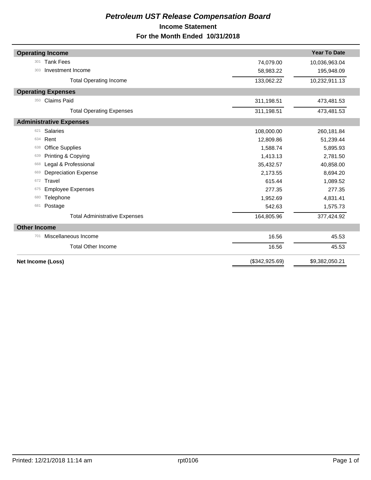## *Petroleum UST Release Compensation Board*  **Income Statement For the Month Ended 10/31/2018**

| <b>Operating Income</b>              |                | <b>Year To Date</b> |
|--------------------------------------|----------------|---------------------|
| <b>Tank Fees</b><br>301              |                |                     |
|                                      | 74,079.00      | 10,036,963.04       |
| Investment Income<br>303             | 58,983.22      | 195,948.09          |
| <b>Total Operating Income</b>        | 133,062.22     | 10,232,911.13       |
| <b>Operating Expenses</b>            |                |                     |
| <b>Claims Paid</b><br>350            | 311,198.51     | 473,481.53          |
| <b>Total Operating Expenses</b>      | 311,198.51     | 473,481.53          |
| <b>Administrative Expenses</b>       |                |                     |
| <b>Salaries</b><br>621               | 108,000.00     | 260,181.84          |
| Rent<br>634                          | 12,809.86      | 51,239.44           |
| <b>Office Supplies</b><br>638        | 1,588.74       | 5,895.93            |
| Printing & Copying<br>639            | 1,413.13       | 2,781.50            |
| Legal & Professional<br>668          | 35,432.57      | 40,858.00           |
| <b>Depreciation Expense</b><br>669   | 2,173.55       | 8,694.20            |
| Travel<br>672                        | 615.44         | 1,089.52            |
| <b>Employee Expenses</b><br>675      | 277.35         | 277.35              |
| Telephone<br>680                     | 1,952.69       | 4,831.41            |
| Postage<br>681                       | 542.63         | 1,575.73            |
| <b>Total Administrative Expenses</b> | 164,805.96     | 377,424.92          |
| <b>Other Income</b>                  |                |                     |
| Miscellaneous Income<br>701          | 16.56          | 45.53               |
| <b>Total Other Income</b>            | 16.56          | 45.53               |
| Net Income (Loss)                    | (\$342,925.69) | \$9,382,050.21      |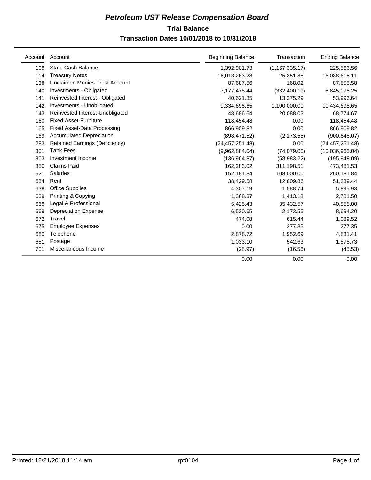## **Trial Balance** *Petroleum UST Release Compensation Board*  **Transaction Dates 10/01/2018 to 10/31/2018**

|     | Account Account                       | <b>Beginning Balance</b> | Transaction      | <b>Ending Balance</b> |
|-----|---------------------------------------|--------------------------|------------------|-----------------------|
| 108 | <b>State Cash Balance</b>             | 1,392,901.73             | (1, 167, 335.17) | 225,566.56            |
| 114 | <b>Treasury Notes</b>                 | 16,013,263.23            | 25,351.88        | 16,038,615.11         |
| 138 | <b>Unclaimed Monies Trust Account</b> | 87,687.56                | 168.02           | 87,855.58             |
| 140 | Investments - Obligated               | 7,177,475.44             | (332, 400.19)    | 6,845,075.25          |
| 141 | Reinvested Interest - Obligated       | 40,621.35                | 13.375.29        | 53.996.64             |
| 142 | Investments - Unobligated             | 9,334,698.65             | 1,100,000.00     | 10,434,698.65         |
| 143 | Reinvested Interest-Unobligated       | 48.686.64                | 20,088.03        | 68,774.67             |
| 160 | <b>Fixed Asset-Furniture</b>          | 118,454.48               | 0.00             | 118,454.48            |
| 165 | <b>Fixed Asset-Data Processing</b>    | 866,909.82               | 0.00             | 866,909.82            |
| 169 | <b>Accumulated Depreciation</b>       | (898, 471.52)            | (2, 173.55)      | (900, 645.07)         |
| 283 | <b>Retained Earnings (Deficiency)</b> | (24, 457, 251.48)        | 0.00             | (24, 457, 251.48)     |
| 301 | Tank Fees                             | (9,962,884.04)           | (74,079.00)      | (10,036,963.04)       |
| 303 | Investment Income                     | (136, 964.87)            | (58,983.22)      | (195, 948.09)         |
| 350 | <b>Claims Paid</b>                    | 162,283.02               | 311,198.51       | 473,481.53            |
| 621 | Salaries                              | 152,181.84               | 108,000.00       | 260,181.84            |
| 634 | Rent                                  | 38,429.58                | 12,809.86        | 51,239.44             |
| 638 | <b>Office Supplies</b>                | 4,307.19                 | 1,588.74         | 5,895.93              |
| 639 | Printing & Copying                    | 1,368.37                 | 1,413.13         | 2,781.50              |
| 668 | Legal & Professional                  | 5,425.43                 | 35,432.57        | 40,858.00             |
| 669 | <b>Depreciation Expense</b>           | 6,520.65                 | 2,173.55         | 8,694.20              |
| 672 | Travel                                | 474.08                   | 615.44           | 1,089.52              |
| 675 | <b>Employee Expenses</b>              | 0.00                     | 277.35           | 277.35                |
| 680 | Telephone                             | 2,878.72                 | 1,952.69         | 4,831.41              |
| 681 | Postage                               | 1,033.10                 | 542.63           | 1,575.73              |
| 701 | Miscellaneous Income                  | (28.97)                  | (16.56)          | (45.53)               |
|     |                                       | 0.00                     | 0.00             | 0.00                  |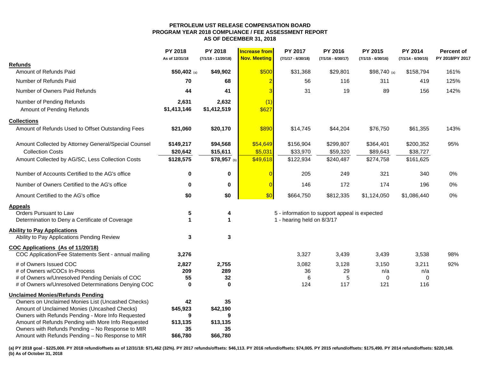#### **PETROLEUM UST RELEASE COMPENSATION BOARD PROGRAM YEAR 2018 COMPLIANCE / FEE ASSESSMENT REPORTAS OF DECEMBER 31, 2018**

|                                                      | PY 2018<br>As of 12/31/18 | PY 2018<br>$(7/1/18 - 11/20/18)$ | <b>Increase from</b><br><b>Nov. Meeting</b> | PY 2017<br>$(7/1/17 - 6/30/18)$ | PY 2016<br>$(7/1/16 - 6/30/17)$               | PY 2015<br>$(7/1/15 - 6/30/16)$ | PY 2014<br>$(7/1/14 - 6/30/15)$ | <b>Percent of</b><br>PY 2018/PY 2017 |
|------------------------------------------------------|---------------------------|----------------------------------|---------------------------------------------|---------------------------------|-----------------------------------------------|---------------------------------|---------------------------------|--------------------------------------|
| Refunds                                              |                           |                                  |                                             |                                 |                                               |                                 |                                 |                                      |
| Amount of Refunds Paid                               | \$50,402 (a)              | \$49,902                         | \$500                                       | \$31,368                        | \$29,801                                      | $$98,740$ (a)                   | \$158,794                       | 161%                                 |
| Number of Refunds Paid                               | 70                        | 68                               |                                             | $\overline{2}$<br>56            | 116                                           | 311                             | 419                             | 125%                                 |
| Number of Owners Paid Refunds                        | 44                        | 41                               |                                             | 31<br>3                         | 19                                            | 89                              | 156                             | 142%                                 |
| Number of Pending Refunds                            | 2,631                     | 2,632                            | (1)                                         |                                 |                                               |                                 |                                 |                                      |
| Amount of Pending Refunds                            | \$1,413,146               | \$1,412,519                      | \$627                                       |                                 |                                               |                                 |                                 |                                      |
| <b>Collections</b>                                   |                           |                                  |                                             |                                 |                                               |                                 |                                 |                                      |
| Amount of Refunds Used to Offset Outstanding Fees    | \$21,060                  | \$20,170                         | \$890                                       | \$14,745                        | \$44,204                                      | \$76,750                        | \$61,355                        | 143%                                 |
| Amount Collected by Attorney General/Special Counsel | \$149,217                 | \$94,568                         | \$54,649                                    | \$156,904                       | \$299,807                                     | \$364,401                       | \$200,352                       | 95%                                  |
| <b>Collection Costs</b>                              | \$20,642                  | \$15,611                         | \$5,031                                     | \$33,970                        | \$59,320                                      | \$89,643                        | \$38,727                        |                                      |
| Amount Collected by AG/SC, Less Collection Costs     | \$128,575                 | \$78,957 (b)                     | \$49,618                                    | \$122,934                       | \$240,487                                     | \$274,758                       | \$161,625                       |                                      |
| Number of Accounts Certified to the AG's office      | $\bf{0}$                  | $\mathbf 0$                      |                                             | $\overline{0}$<br>205           | 249                                           | 321                             | 340                             | 0%                                   |
| Number of Owners Certified to the AG's office        | $\mathbf 0$               | $\mathbf 0$                      |                                             | $\overline{0}$<br>146           | 172                                           | 174                             | 196                             | 0%                                   |
| Amount Certified to the AG's office                  | \$0                       | \$0                              | \$0                                         | \$664,750                       | \$812,335                                     | \$1,124,050                     | \$1,086,440                     | 0%                                   |
| <b>Appeals</b>                                       |                           |                                  |                                             |                                 |                                               |                                 |                                 |                                      |
| Orders Pursuant to Law                               | 5                         | 4                                |                                             |                                 | 5 - information to support appeal is expected |                                 |                                 |                                      |
| Determination to Deny a Certificate of Coverage      | 1                         | 1                                |                                             | 1 - hearing held on 8/3/17      |                                               |                                 |                                 |                                      |
| <b>Ability to Pay Applications</b>                   |                           |                                  |                                             |                                 |                                               |                                 |                                 |                                      |
| Ability to Pay Applications Pending Review           | 3                         | $\mathbf{3}$                     |                                             |                                 |                                               |                                 |                                 |                                      |
| COC Applications (As of 11/20/18)                    |                           |                                  |                                             |                                 |                                               |                                 |                                 |                                      |
| COC Application/Fee Statements Sent - annual mailing | 3,276                     |                                  |                                             | 3,327                           | 3,439                                         | 3,439                           | 3,538                           | 98%                                  |
| # of Owners Issued COC                               | 2,827                     | 2,755                            |                                             | 3,082                           | 3,128                                         | 3,150                           | 3,211                           | 92%                                  |
| # of Owners w/COCs In-Process                        | 209                       | 289                              |                                             | 36                              | 29                                            | n/a                             | n/a                             |                                      |
| # of Owners w/Unresolved Pending Denials of COC      | 55                        | 32                               |                                             | 6                               | 5                                             | 0                               | 0                               |                                      |
| # of Owners w/Unresolved Determinations Denying COC  | $\bf{0}$                  | $\mathbf 0$                      |                                             | 124                             | 117                                           | 121                             | 116                             |                                      |
| <b>Unclaimed Monies/Refunds Pending</b>              |                           |                                  |                                             |                                 |                                               |                                 |                                 |                                      |
| Owners on Unclaimed Monies List (Uncashed Checks)    | 42                        | 35                               |                                             |                                 |                                               |                                 |                                 |                                      |
| Amount of Unclaimed Monies (Uncashed Checks)         | \$45,923                  | \$42,190                         |                                             |                                 |                                               |                                 |                                 |                                      |
| Owners with Refunds Pending - More Info Requested    | 9                         | 9                                |                                             |                                 |                                               |                                 |                                 |                                      |
| Amount of Refunds Pending with More Info Requested   | \$13,135                  | \$13,135                         |                                             |                                 |                                               |                                 |                                 |                                      |
| Owners with Refunds Pending - No Response to MIR     | 35                        | 35                               |                                             |                                 |                                               |                                 |                                 |                                      |
| Amount with Refunds Pending - No Response to MIR     | \$66,780                  | \$66,780                         |                                             |                                 |                                               |                                 |                                 |                                      |

(a) PY 2018 goal - \$225,000. PY 2018 refund/offsets as of 12/31/18: \$71,462 (32%). PY 2017 refunds/offsets: \$46,113. PY 2016 refund/offsets: \$74,005. PY 2015 refund/offsets: \$175,490. PY 2014 refund/offsets: \$220,149. **(b) As of October 31, 2018**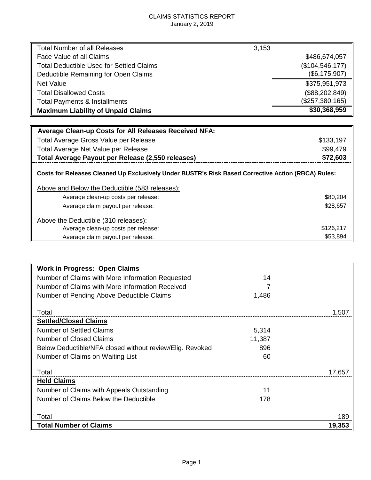#### CLAIMS STATISTICS REPORT January 2, 2019

| <b>Total Number of all Releases</b>                                                                | 3,153             |
|----------------------------------------------------------------------------------------------------|-------------------|
| Face Value of all Claims                                                                           | \$486,674,057     |
| Total Deductible Used for Settled Claims                                                           | (\$104, 546, 177) |
| Deductible Remaining for Open Claims                                                               | (\$6,175,907)     |
| Net Value                                                                                          | \$375,951,973     |
| <b>Total Disallowed Costs</b>                                                                      | (\$88, 202, 849)  |
| Total Payments & Installments                                                                      | (\$257,380,165)   |
| <b>Maximum Liability of Unpaid Claims</b>                                                          | \$30,368,959      |
|                                                                                                    |                   |
| <b>Average Clean-up Costs for All Releases Received NFA:</b>                                       |                   |
| Total Average Gross Value per Release                                                              | \$133,197         |
| Total Average Net Value per Release                                                                | \$99,479          |
| Total Average Payout per Release (2,550 releases)                                                  | \$72,603          |
| Costs for Releases Cleaned Up Exclusively Under BUSTR's Risk Based Corrective Action (RBCA) Rules: |                   |
| Above and Below the Deductible (583 releases):                                                     |                   |
| Average clean-up costs per release:                                                                | \$80,204          |

| Average claim payout per release:    | \$28,657  |
|--------------------------------------|-----------|
| Above the Deductible (310 releases): |           |
| Average clean-up costs per release:  | \$126.217 |
| Average claim payout per release:    | \$53,894  |

| <b>Work in Progress: Open Claims</b>                     |        |        |
|----------------------------------------------------------|--------|--------|
| Number of Claims with More Information Requested         | 14     |        |
| Number of Claims with More Information Received          |        |        |
| Number of Pending Above Deductible Claims                | 1,486  |        |
|                                                          |        |        |
| Total                                                    |        | 1.507  |
| <b>Settled/Closed Claims</b>                             |        |        |
| <b>Number of Settled Claims</b>                          | 5,314  |        |
| <b>Number of Closed Claims</b>                           | 11,387 |        |
| Below Deductible/NFA closed without review/Elig. Revoked | 896    |        |
| Number of Claims on Waiting List                         | 60     |        |
|                                                          |        |        |
| Total                                                    |        | 17.657 |
| <b>Held Claims</b>                                       |        |        |
| Number of Claims with Appeals Outstanding                | 11     |        |
| Number of Claims Below the Deductible                    | 178    |        |
|                                                          |        |        |
| Total                                                    |        | 189    |
| <b>Total Number of Claims</b>                            |        | 19,353 |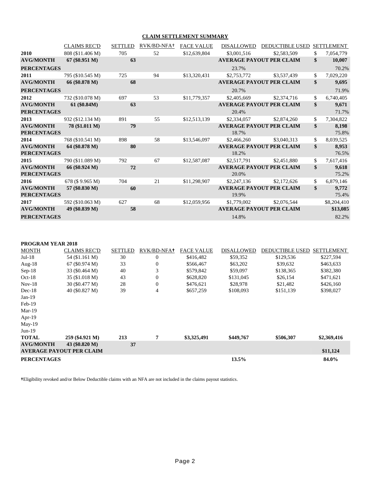#### **CLAIM SETTLEMENT SUMMARY**

|                                        | <b>CLAIMS REC'D</b> | <b>SETTLED</b> | RVK/BD-NFA+ | <b>FACE VALUE</b> | <b>DISALLOWED</b> | <b>DEDUCTIBLE USED</b>          | <b>SETTLEMENT</b>    |
|----------------------------------------|---------------------|----------------|-------------|-------------------|-------------------|---------------------------------|----------------------|
| 2010                                   | 808 (\$11.406 M)    | 705            | 52          | \$12,639,804      | \$3,001,516       | \$2,583,509                     | \$<br>7,054,779      |
| <b>AVG/MONTH</b>                       | $67 (\$0.951 M)$    | 63             |             |                   |                   | <b>AVERAGE PAYOUT PER CLAIM</b> | \$<br>10,007         |
| <b>PERCENTAGES</b>                     |                     |                |             |                   | 23.7%             |                                 | 70.2%                |
| 2011                                   | 795 (\$10.545 M)    | 725            | 94          | \$13,320,431      | \$2,753,772       | \$3,537,439                     | \$<br>7,029,220      |
| <b>AVG/MONTH</b>                       | 66 (\$0.878 M)      | 68             |             |                   |                   | <b>AVERAGE PAYOUT PER CLAIM</b> | \$<br>9,695          |
| <b>PERCENTAGES</b>                     |                     |                |             |                   | 20.7%             |                                 | 71.9%                |
| 2012                                   | 732 (\$10.078 M)    | 697            | 53          | \$11,779,357      | \$2,405,669       | \$2,374,716                     | \$<br>6,740,405      |
| <b>AVG/MONTH</b><br><b>PERCENTAGES</b> | $61 (\$0.84M)$      | 63             |             |                   | 20.4%             | <b>AVERAGE PAYOUT PER CLAIM</b> | \$<br>9,671<br>71.7% |
| 2013                                   | 932 (\$12.134 M)    | 891            | 55          | \$12,513,139      | \$2,334,057       | \$2,874,260                     | \$<br>7,304,822      |
| <b>AVG/MONTH</b><br><b>PERCENTAGES</b> | 78 (\$1.011 M)      | 79             |             |                   | 18.7%             | <b>AVERAGE PAYOUT PER CLAIM</b> | \$<br>8,198<br>75.8% |
| 2014                                   | 768 (\$10.541 M)    | 898            | 58          | \$13,546,097      | \$2,466,260       | \$3,040,313                     | \$<br>8,039,525      |
| <b>AVG/MONTH</b><br><b>PERCENTAGES</b> | 64 (\$0.878 M)      | 80             |             |                   | 18.2%             | <b>AVERAGE PAYOUT PER CLAIM</b> | \$<br>8,953<br>76.5% |
| 2015                                   | 790 (\$11.089 M)    | 792            | 67          | \$12,587,087      | \$2,517,791       | \$2,451,880                     | \$<br>7,617,416      |
| <b>AVG/MONTH</b><br><b>PERCENTAGES</b> | 66 (\$0.924 M)      | 72             |             |                   | 20.0%             | <b>AVERAGE PAYOUT PER CLAIM</b> | \$<br>9,618<br>75.2% |
| 2016                                   | 678 (\$9.965 M)     | 704            | 21          | \$11,298,907      | \$2,247,136       | \$2,172,626                     | \$<br>6,879,146      |
| <b>AVG/MONTH</b><br><b>PERCENTAGES</b> | 57 (\$0.830 M)      | 60             |             |                   | 19.9%             | <b>AVERAGE PAYOUT PER CLAIM</b> | \$<br>9,772<br>75.4% |
| 2017                                   | 592 (\$10.063 M)    | 627            | 68          | \$12,059,956      | \$1,779,002       | \$2,076,544                     | \$8,204,410          |
| <b>AVG/MONTH</b>                       | 49 (\$0.839 M)      | 58             |             |                   |                   | <b>AVERAGE PAYOUT PER CLAIM</b> | \$13,085             |
| <b>PERCENTAGES</b>                     |                     |                |             |                   | 14.8%             |                                 | 82.2%                |

#### **PROGRAM YEAR 2018**

| <b>MONTH</b>       | <b>CLAIMS REC'D</b>             | <b>SETTLED</b> | RVK/BD-NFA+ | <b>FACE VALUE</b> | <b>DISALLOWED</b> | <b>DEDUCTIBLE USED</b> | <b>SETTLEMENT</b> |
|--------------------|---------------------------------|----------------|-------------|-------------------|-------------------|------------------------|-------------------|
| $Jul-18$           | 54 (\$1.161 M)                  | 30             | 0           | \$416,482         | \$59,352          | \$129,536              | \$227,594         |
| Aug- $18$          | $67 (\$0.974 M)$                | 33             | 0           | \$566,467         | \$63,202          | \$39,632               | \$463,633         |
| $Sep-18$           | 33 (\$0.464 M)                  | 40             | 3           | \$579,842         | \$59,097          | \$138,365              | \$382,380         |
| $Oct-18$           | 35 (\$1.018 M)                  | 43             | 0           | \$628,820         | \$131,045         | \$26,154               | \$471,621         |
| $Nov-18$           | 30 (\$0.477 M)                  | 28             | 0           | \$476,621         | \$28,978          | \$21,482               | \$426,160         |
| $Dec-18$           | 40 (\$0.827 M)                  | 39             | 4           | \$657,259         | \$108,093         | \$151,139              | \$398,027         |
| $Jan-19$           |                                 |                |             |                   |                   |                        |                   |
| $Feb-19$           |                                 |                |             |                   |                   |                        |                   |
| $Mar-19$           |                                 |                |             |                   |                   |                        |                   |
| Apr- $19$          |                                 |                |             |                   |                   |                        |                   |
| $May-19$           |                                 |                |             |                   |                   |                        |                   |
| $Jun-19$           |                                 |                |             |                   |                   |                        |                   |
| <b>TOTAL</b>       | 259 (\$4.921 M)                 | 213            | 7           | \$3,325,491       | \$449,767         | \$506,307              | \$2,369,416       |
| <b>AVG/MONTH</b>   | 43 (\$0.820 M)                  | 37             |             |                   |                   |                        |                   |
|                    | <b>AVERAGE PAYOUT PER CLAIM</b> |                |             |                   |                   |                        | \$11,124          |
| <b>PERCENTAGES</b> |                                 |                |             |                   | 13.5%             |                        | 84.0%             |

**†**Eligibility revoked and/or Below Deductible claims with an NFA are not included in the claims payout statistics.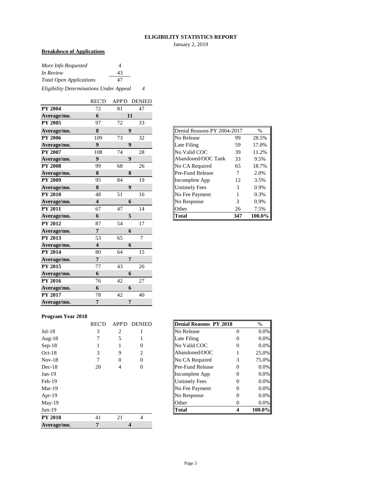#### **ELIGIBILITY STATISTICS REPORT**

January 2, 2019

#### **Breakdown of Applications**

| More Info Requested            | 4  |  |
|--------------------------------|----|--|
| In Review                      | 43 |  |
| <b>Total Open Applications</b> | 47 |  |
|                                |    |  |

*Eligibility Determinations Under Appeal 4*

|                | <b>REC'D</b>            | <b>APP'D</b> | <b>DENIED</b>    |
|----------------|-------------------------|--------------|------------------|
| <b>PY 2004</b> | 72                      | 81           | 47               |
| Average/mo.    | 6                       |              | 11               |
| <b>PY 2005</b> | 97                      | 72           | 33               |
| Average/mo.    | ${\bf 8}$               |              | 9                |
| <b>PY 2006</b> | 109                     | 73           | 32               |
| Average/mo.    | $\boldsymbol{9}$        |              | $\boldsymbol{9}$ |
| <b>PY 2007</b> | 108                     | 74           | 28               |
| Average/mo.    | 9                       |              | 9                |
| <b>PY 2008</b> | 99                      | 68           | 26               |
| Average/mo.    | 8                       |              | 8                |
| <b>PY 2009</b> | 95                      | 84           | 19               |
| Average/mo.    | 8                       |              | $\boldsymbol{9}$ |
| <b>PY 2010</b> | 48                      | 51           | 16               |
| Average/mo.    | $\overline{\mathbf{4}}$ |              | 6                |
| <b>PY 2011</b> | 67                      | 47           | 14               |
| Average/mo.    | 6                       |              | 5                |
| <b>PY 2012</b> | 87                      | 54           | 17               |
| Average/mo.    | $\overline{7}$          |              | 6                |
| PY 2013        | 53                      | 65           | $\overline{7}$   |
| Average/mo.    | $\overline{\mathbf{4}}$ |              | 6                |
| <b>PY 2014</b> | 80                      | 64           | 15               |
| Average/mo.    | $\overline{7}$          |              | $\overline{7}$   |
| PY 2015        | 77                      | 43           | 26               |
| Average/mo.    | 6                       |              | 6                |
| PY 2016        |                         | 42           | 27               |
|                | 76                      |              |                  |
| Average/mo.    | 6                       |              | 6                |
| <b>PY 2017</b> | 78                      | 42           | 40               |

| Denial Reasons PY 2004-2017<br>$\frac{0}{0}$ |     |        |  |  |  |  |  |  |  |
|----------------------------------------------|-----|--------|--|--|--|--|--|--|--|
| No Release                                   | 99  | 28.5%  |  |  |  |  |  |  |  |
| Late Filing                                  | 59  | 17.0%  |  |  |  |  |  |  |  |
| No Valid COC                                 | 39  | 11.2%  |  |  |  |  |  |  |  |
| Abandoned/OOC Tank                           | 33  | 9.5%   |  |  |  |  |  |  |  |
| No CA Required                               | 65  | 18.7%  |  |  |  |  |  |  |  |
| <b>Pre-Fund Release</b>                      | 7   | 2.0%   |  |  |  |  |  |  |  |
| Incomplete App                               | 12  | 3.5%   |  |  |  |  |  |  |  |
| <b>Untimely Fees</b>                         | 3   | 0.9%   |  |  |  |  |  |  |  |
| No Fee Payment                               | 1   | 0.3%   |  |  |  |  |  |  |  |
| No Response                                  | 3   | 0.9%   |  |  |  |  |  |  |  |
| Other                                        | 26  | 7.5%   |  |  |  |  |  |  |  |
| Total                                        | 347 | 100.0% |  |  |  |  |  |  |  |

#### **Program Year 2018**

|                | <b>REC'D</b> | <b>APP'D</b> | <b>DENIED</b>               | Denial Reasons PY 2018  |          | $\%$   |
|----------------|--------------|--------------|-----------------------------|-------------------------|----------|--------|
| $Jul-18$       | 3            | 2            |                             | <b>No Release</b>       | 0        | 0.0%   |
| Aug- $18$      |              | 5            |                             | Late Filing             | 0        | 0.0%   |
| $Sep-18$       |              |              |                             | No Valid COC            | 0        | 0.0%   |
| $Oct-18$       | 3            | 9            | $\mathcal{D}_{\mathcal{L}}$ | Abandoned/OOC           |          | 25.0%  |
| $Nov-18$       | 7            | $\theta$     | 0                           | No CA Required          | 3        | 75.0%  |
| $Dec-18$       | 20           | 4            | 0                           | <b>Pre-Fund Release</b> | 0        | 0.0%   |
| $Jan-19$       |              |              |                             | Incomplete App          | 0        | 0.0%   |
| $Feb-19$       |              |              |                             | <b>Untimely Fees</b>    | 0        | 0.0%   |
| $Mar-19$       |              |              |                             | No Fee Payment          | 0        | 0.0%   |
| Apr- $19$      |              |              |                             | No Response             | 0        | 0.0%   |
| $May-19$       |              |              |                             | Other                   | $\theta$ | 0.0%   |
| $Jun-19$       |              |              |                             | <b>Total</b>            | 4        | 100.0% |
| <b>PY 2018</b> | 41           | 21           | $\overline{4}$              |                         |          |        |
| Average/mo.    | 7            |              |                             |                         |          |        |

| REC'D |   | APP'D DENIED | <b>Denial Reasons PY 2018</b> | $\%$    |
|-------|---|--------------|-------------------------------|---------|
| 3     |   |              | No Release                    | $0.0\%$ |
|       | 5 |              | Late Filing                   | $0.0\%$ |
|       |   |              | No Valid COC                  | $0.0\%$ |
| 3     | 9 | 2            | Abandoned/OOC                 | 25.0%   |
|       |   |              | No CA Required                | 75.0%   |
| 20    |   |              | Pre-Fund Release              | $0.0\%$ |
|       |   |              | Incomplete App                | 0.0%    |
|       |   |              | <b>Untimely Fees</b>          | $0.0\%$ |
|       |   |              | No Fee Payment                | $0.0\%$ |
|       |   |              | No Response                   | $0.0\%$ |
|       |   |              | Other                         | $0.0\%$ |
|       |   |              | <b>Total</b>                  | 100.0%  |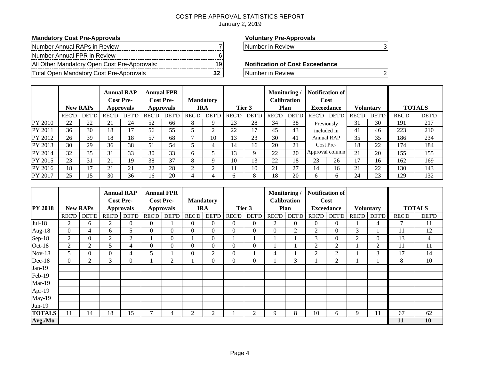#### COST PRE-APPROVAL STATISTICS REPORT January 2, 2019

#### **Mandatory Cost Pre-Approvals Voluntary Pre-Approvals**

| Number Annual RAPs in Review                 |  |
|----------------------------------------------|--|
| Number Annual FPR in Review                  |  |
| All Other Mandatory Open Cost Pre-Approvals: |  |
| Total Open Mandatory Cost Pre-Approvals      |  |

Number in Review 7 Number in Review 3

#### **Notification of Cost Exceedance**

**The Number in Review 22 Number in Review 22 Number in Review 23** 

|         | <b>Annual RAP</b><br><b>Cost Pre-</b><br><b>New RAPs</b><br>Approvals |                 |              |              | <b>Annual FPR</b><br><b>Cost Pre-</b><br><b>Approvals</b> | <b>Mandatory</b><br><b>IRA</b> |       |              | Monitoring/<br><b>Calibration</b><br>Tier 3<br>Plan |              |       | Notification of !<br>Cost<br><b>Exceedance</b> |              |                 | <b>Voluntary</b> |              | <b>TOTALS</b> |              |
|---------|-----------------------------------------------------------------------|-----------------|--------------|--------------|-----------------------------------------------------------|--------------------------------|-------|--------------|-----------------------------------------------------|--------------|-------|------------------------------------------------|--------------|-----------------|------------------|--------------|---------------|--------------|
|         | <b>REC'D</b>                                                          | <b>DET'D</b>    | <b>REC'D</b> | <b>DET'D</b> | <b>REC'D</b>                                              | <b>DET'D</b>                   | REC'D | <b>DET'D</b> | <b>REC'D</b>                                        | <b>DET'D</b> | REC'D | <b>DET'D</b>                                   | <b>REC'D</b> | <b>DET'D</b>    | <b>REC'D</b>     | <b>DET'D</b> | <b>REC'D</b>  | <b>DET'D</b> |
| PY 2010 | 22                                                                    | 22              | 21           | 24           | 52                                                        | 66                             | ◠     |              | 23                                                  | 28           | 34    | 38                                             |              | Previously      | 31               | 30           | 191           | 217          |
| PY 2011 | 36                                                                    | 30              | 18           | 17           | 56                                                        | 55                             |       |              | 22                                                  | 17           | 45    | 43                                             | included in  |                 | 41               | 46           | 223           | 210          |
| PY 2012 | 26                                                                    | 39              | 18           | 18           | 57                                                        | 68                             |       | 10           | 3                                                   | 23           | 30    | 41                                             |              | Annual RAP      | 35               | 35           | 186           | 234          |
| PY 2013 | 30                                                                    | 29              | 36           | 38           | 51                                                        | 54                             |       |              | 14                                                  | 16           | 20    | 21                                             | Cost Pre-    |                 | 18               | 22           | 174           | 184          |
| PY 2014 | 32                                                                    | 35              | 31           | 33           | 30                                                        | 33                             | h     |              | 3                                                   | Q            | 22    | 20                                             |              | Approval column | 21               | 20           | 155           | 155          |
| PY 2015 | 23                                                                    | 31              | 21           | 19           | 38                                                        | 37                             | 8     |              | 10                                                  | 13           | 22    | 18                                             | 23           | 26              | 17               | 16           | 162           | 169          |
| PY 2016 | 18                                                                    | 17              | 21           | 21           | 22                                                        | 28                             |       |              |                                                     | 10           | 21    | 27                                             | 14           | 16              | 21               | 22           | 130           | 143          |
| PY 2017 | 25                                                                    | 15 <sup>2</sup> | 30           | 36           | 16                                                        | 20                             | 4     |              | h.                                                  | 8            | 18    | 20                                             | h.           | <sub>0</sub>    | 24               | 23           | 129           | 132          |

|                |          |                 | <b>Cost Pre-</b> | <b>Annual RAP</b> |              | <b>Annual FPR</b><br><b>Cost Pre-</b> |                | <b>Mandatory</b> |                |                | Monitoring/    | <b>Calibration</b> |                | Notification of<br>Cost |              |                   |              |                  |  |               |  |
|----------------|----------|-----------------|------------------|-------------------|--------------|---------------------------------------|----------------|------------------|----------------|----------------|----------------|--------------------|----------------|-------------------------|--------------|-------------------|--------------|------------------|--|---------------|--|
| <b>PY 2018</b> |          | <b>New RAPs</b> |                  | <b>Approvals</b>  |              |                                       |                | <b>Approvals</b> | <b>IRA</b>     |                |                | Tier 3             |                | Plan                    |              | <b>Exceedance</b> |              | <b>Voluntary</b> |  | <b>TOTALS</b> |  |
|                | RECD     | <b>DET'D</b>    | REC'D            | DET'D             | <b>REC'D</b> | <b>DET'D</b>                          | <b>REC'D</b>   | <b>DET'D</b>     | <b>REC'D</b>   | <b>DET'D</b>   | <b>REC'D</b>   | <b>DET'D</b>       | REC'D          | <b>DET'D</b>            | <b>REC'D</b> | <b>DET'D</b>      | <b>REC'D</b> | <b>DET'D</b>     |  |               |  |
| $Jul-18$       | 2        | 6               | $\overline{2}$   | $\overline{0}$    | $\Omega$     |                                       | $\Omega$       | $\Omega$         | $\Omega$       | $\overline{0}$ | $\overline{2}$ | $\overline{0}$     | $\overline{0}$ | $\Omega$                |              | 4                 | 7            | 11               |  |               |  |
| Aug-18         | $\Omega$ | 4               | 6                | 5                 | 0            | $\mathbf{0}$                          | $\Omega$       | $\Omega$         | $\overline{0}$ | $\overline{0}$ | $\mathbf{0}$   | 2                  | 2              | $\theta$                | 3            |                   | 11           | 12               |  |               |  |
| Sep-18         | 2        | $\Omega$        | $\overline{2}$   | $\overline{2}$    |              | $\overline{0}$                        |                | $\Omega$         |                |                |                |                    | 3              | $\theta$                | 2            | $\Omega$          | 13           | 4                |  |               |  |
| Oct-18         | 2        | 2               | 5                | 4                 | $\Omega$     | $\mathbf{0}$                          | $\Omega$       | $\Omega$         | $\theta$       | $\overline{0}$ |                |                    | 2              | 2                       |              | 2                 | 11           | 11               |  |               |  |
| $Nov-18$       | 5        | $\Omega$        | $\theta$         | 4                 | 5            |                                       | $\Omega$       | 2                | $\overline{0}$ |                | 4              |                    | 2              | $\overline{2}$          |              | 3                 | 17           | 14               |  |               |  |
| Dec-18         | $\Omega$ | 2               | 3                | $\mathbf{0}$      |              | 2                                     |                | $\Omega$         | $\Omega$       | $\overline{0}$ |                | 3                  |                | $\overline{2}$          |              |                   | 8            | 10               |  |               |  |
| $Jan-19$       |          |                 |                  |                   |              |                                       |                |                  |                |                |                |                    |                |                         |              |                   |              |                  |  |               |  |
| Feb-19         |          |                 |                  |                   |              |                                       |                |                  |                |                |                |                    |                |                         |              |                   |              |                  |  |               |  |
| $Mar-19$       |          |                 |                  |                   |              |                                       |                |                  |                |                |                |                    |                |                         |              |                   |              |                  |  |               |  |
| Apr-19         |          |                 |                  |                   |              |                                       |                |                  |                |                |                |                    |                |                         |              |                   |              |                  |  |               |  |
| May-19         |          |                 |                  |                   |              |                                       |                |                  |                |                |                |                    |                |                         |              |                   |              |                  |  |               |  |
| Jun-19         |          |                 |                  |                   |              |                                       |                |                  |                |                |                |                    |                |                         |              |                   |              |                  |  |               |  |
| <b>TOTALS</b>  | 11       | 14              | 18               | 15                |              | 4                                     | $\overline{2}$ | 2                |                | $\overline{2}$ | 9              | 8                  | 10             | 6                       | 9            |                   | 67           | 62               |  |               |  |
| Avg./Mo        |          |                 |                  |                   |              |                                       |                |                  |                |                |                |                    |                |                         |              |                   | 11           | 10               |  |               |  |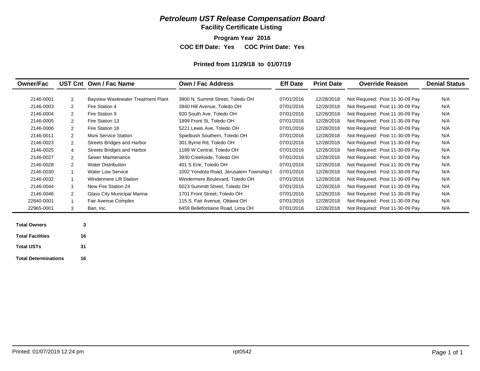**Facility Certificate Listing**

**Program Year 2016**

**COC Eff Date: Yes COC Print Date: Yes** 

#### **Printed from 11/29/18 to 01/07/19**

| <b>Owner/Fac</b>                               |                | UST Cnt Own / Fac Name             | <b>Own / Fac Address</b>                | <b>Eff Date</b> | <b>Print Date</b> | <b>Override Reason</b>          | <b>Denial Status</b> |
|------------------------------------------------|----------------|------------------------------------|-----------------------------------------|-----------------|-------------------|---------------------------------|----------------------|
| 2146-0001                                      | 2              | Bayview Wastewater Treatment Plant | 3900 N. Summit Street, Toledo OH        | 07/01/2016      | 12/28/2018        | Not Required: Post 11-30-09 Pay | N/A                  |
| 2146-0003                                      | $\overline{2}$ | Fire Station 4                     | 3940 Hill Avenue, Toledo OH             | 07/01/2016      | 12/28/2018        | Not Required: Post 11-30-09 Pay | N/A                  |
| 2146-0004                                      | $\overline{2}$ | Fire Station 9                     | 920 South Ave, Toledo OH                | 07/01/2016      | 12/28/2018        | Not Required: Post 11-30-09 Pay | N/A                  |
| 2146-0005                                      | $\overline{2}$ | Fire Station 13                    | 1899 Front St, Toledo OH                | 07/01/2016      | 12/28/2018        | Not Required: Post 11-30-09 Pay | N/A                  |
| 2146-0006                                      | $\overline{2}$ | Fire Station 18                    | 5221 Lewis Ave, Toledo OH               | 07/01/2016      | 12/28/2018        | Not Required: Post 11-30-09 Pay | N/A                  |
| 2146-0011                                      | $\overline{2}$ | Muni Service Station               | Spielbush Southern, Toledo OH           | 07/01/2016      | 12/28/2018        | Not Required: Post 11-30-09 Pay | N/A                  |
| 2146-0023                                      | $\overline{2}$ | Streets Bridges and Harbor         | 301 Byrne Rd, Toledo OH                 | 07/01/2016      | 12/28/2018        | Not Required: Post 11-30-09 Pay | N/A                  |
| 2146-0025                                      | 4              | Streets Bridges and Harbor         | 1189 W Central, Toledo OH               | 07/01/2016      | 12/28/2018        | Not Required: Post 11-30-09 Pay | N/A                  |
| 2146-0027                                      | 2              | Sewer Maintenance                  | 3930 Creekside, Toledo OH               | 07/01/2016      | 12/28/2018        | Not Required: Post 11-30-09 Pay | N/A                  |
| 2146-0028                                      | $\overline{2}$ | <b>Water Distribution</b>          | 401 S Erie, Toledo OH                   | 07/01/2016      | 12/28/2018        | Not Required: Post 11-30-09 Pay | N/A                  |
| 2146-0030                                      |                | <b>Water Low Service</b>           | 1002 Yondota Road, Jerusalem Township ( | 07/01/2016      | 12/28/2018        | Not Required: Post 11-30-09 Pay | N/A                  |
| 2146-0032                                      |                | Windermere Lift Station            | Windermere Boulevard, Toledo OH         | 07/01/2016      | 12/28/2018        | Not Required: Post 11-30-09 Pay | N/A                  |
| 2146-0044                                      | $\overline{1}$ | New Fire Station 24                | 5023 Summitt Street, Toledo OH          | 07/01/2016      | 12/28/2018        | Not Required: Post 11-30-09 Pay | N/A                  |
| 2146-0046                                      | $\overline{2}$ | Glass City Municipal Marina        | 1701 Front Street, Toledo OH            | 07/01/2016      | 12/28/2018        | Not Required: Post 11-30-09 Pay | N/A                  |
| 22640-0001                                     |                | Fair Avenue Complex                | 115 S. Fair Avenue, Ottawa OH           | 07/01/2016      | 12/28/2018        | Not Required: Post 11-30-09 Pay | N/A                  |
| 22965-0001                                     | 3              | Bari, Inc.                         | 6459 Bellefontaine Road, Lima OH        | 07/01/2016      | 12/28/2018        | Not Required: Post 11-30-09 Pay | N/A                  |
| <b>Total Owners</b><br><b>Total Facilities</b> | 3<br>16        |                                    |                                         |                 |                   |                                 |                      |

**16**

**31**

**Total Determinations**

**Total USTs**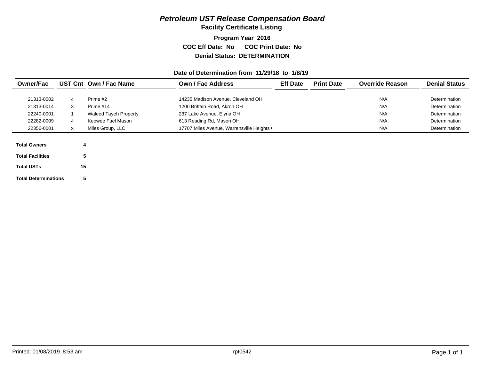**Facility Certificate Listing**

### **Program Year 2016 COC Eff Date: No COC Print Date: No Denial Status: DETERMINATION**

#### **Date of Determination from 11/29/18 to 1/8/19**

| <b>Owner/Fac</b>        |   | UST Cnt Own / Fac Name       | Own / Fac Address                          | <b>Eff Date</b> | <b>Print Date</b> | <b>Override Reason</b> | <b>Denial Status</b> |
|-------------------------|---|------------------------------|--------------------------------------------|-----------------|-------------------|------------------------|----------------------|
| 21313-0002              | 4 | Prime #2                     | 14235 Madison Avenue, Cleveland OH         |                 |                   | N/A                    | Determination        |
| 21313-0014              | 3 | Prime #14                    | 1200 Brittain Road, Akron OH               |                 |                   | N/A                    | Determination        |
| 22240-0001              |   | <b>Waleed Tayeh Property</b> | 237 Lake Avenue, Elyria OH                 |                 |                   | N/A                    | Determination        |
| 22282-0009              | 4 | Keowee Fuel Mason            | 613 Reading Rd, Mason OH                   |                 |                   | N/A                    | Determination        |
| 22356-0001              |   | Miles Group, LLC             | 17707 Miles Avenue, Warrensville Heights ( |                 |                   | N/A                    | Determination        |
|                         |   |                              |                                            |                 |                   |                        |                      |
| <b>Total Owners</b>     |   |                              |                                            |                 |                   |                        |                      |
| <b>Total Facilities</b> |   |                              |                                            |                 |                   |                        |                      |

**Total USTs15**

**Total Determinations**

**5**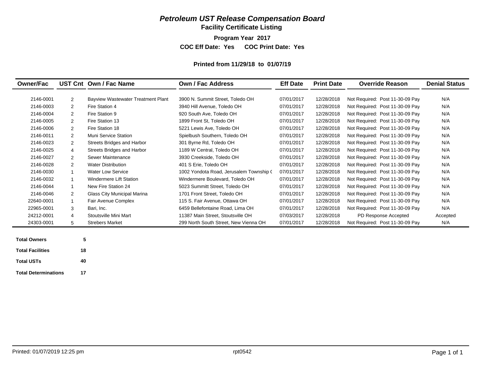**Facility Certificate Listing**

**Program Year 2017**

**COC Eff Date: Yes COC Print Date: Yes** 

#### **Printed from 11/29/18 to 01/07/19**

| <b>Owner/Fac</b>    |              | UST Cnt Own / Fac Name             | Own / Fac Address                       | <b>Eff Date</b> | <b>Print Date</b> | <b>Override Reason</b>          | <b>Denial Status</b> |
|---------------------|--------------|------------------------------------|-----------------------------------------|-----------------|-------------------|---------------------------------|----------------------|
| 2146-0001           | 2            | Bayview Wastewater Treatment Plant | 3900 N. Summit Street. Toledo OH        | 07/01/2017      | 12/28/2018        | Not Required: Post 11-30-09 Pay | N/A                  |
| 2146-0003           | 2            | Fire Station 4                     | 3940 Hill Avenue, Toledo OH             | 07/01/2017      | 12/28/2018        | Not Required: Post 11-30-09 Pay | N/A                  |
| 2146-0004           | 2            | Fire Station 9                     | 920 South Ave, Toledo OH                | 07/01/2017      | 12/28/2018        | Not Required: Post 11-30-09 Pay | N/A                  |
| 2146-0005           | 2            | Fire Station 13                    | 1899 Front St, Toledo OH                | 07/01/2017      | 12/28/2018        | Not Required: Post 11-30-09 Pay | N/A                  |
| 2146-0006           | 2            | Fire Station 18                    | 5221 Lewis Ave. Toledo OH               | 07/01/2017      | 12/28/2018        | Not Required: Post 11-30-09 Pay | N/A                  |
| 2146-0011           | 2            | <b>Muni Service Station</b>        | Spielbush Southern, Toledo OH           | 07/01/2017      | 12/28/2018        | Not Required: Post 11-30-09 Pay | N/A                  |
| 2146-0023           | 2            | Streets Bridges and Harbor         | 301 Byrne Rd, Toledo OH                 | 07/01/2017      | 12/28/2018        | Not Required: Post 11-30-09 Pay | N/A                  |
| 2146-0025           | 4            | Streets Bridges and Harbor         | 1189 W Central, Toledo OH               | 07/01/2017      | 12/28/2018        | Not Required: Post 11-30-09 Pay | N/A                  |
| 2146-0027           | 2            | Sewer Maintenance                  | 3930 Creekside, Toledo OH               | 07/01/2017      | 12/28/2018        | Not Required: Post 11-30-09 Pay | N/A                  |
| 2146-0028           | 2            | <b>Water Distribution</b>          | 401 S Erie, Toledo OH                   | 07/01/2017      | 12/28/2018        | Not Required: Post 11-30-09 Pay | N/A                  |
| 2146-0030           | $\mathbf{1}$ | <b>Water Low Service</b>           | 1002 Yondota Road, Jerusalem Township ( | 07/01/2017      | 12/28/2018        | Not Required: Post 11-30-09 Pay | N/A                  |
| 2146-0032           | $\mathbf 1$  | Windermere Lift Station            | Windermere Boulevard, Toledo OH         | 07/01/2017      | 12/28/2018        | Not Required: Post 11-30-09 Pay | N/A                  |
| 2146-0044           | $\mathbf{1}$ | New Fire Station 24                | 5023 Summitt Street, Toledo OH          | 07/01/2017      | 12/28/2018        | Not Required: Post 11-30-09 Pay | N/A                  |
| 2146-0046           | 2            | Glass City Municipal Marina        | 1701 Front Street, Toledo OH            | 07/01/2017      | 12/28/2018        | Not Required: Post 11-30-09 Pay | N/A                  |
| 22640-0001          | $\mathbf{1}$ | Fair Avenue Complex                | 115 S. Fair Avenue, Ottawa OH           | 07/01/2017      | 12/28/2018        | Not Required: Post 11-30-09 Pay | N/A                  |
| 22965-0001          | 3            | Bari, Inc.                         | 6459 Bellefontaine Road, Lima OH        | 07/01/2017      | 12/28/2018        | Not Required: Post 11-30-09 Pay | N/A                  |
| 24212-0001          | 4            | Stoutsville Mini Mart              | 11387 Main Street, Stoutsville OH       | 07/03/2017      | 12/28/2018        | PD Response Accepted            | Accepted             |
| 24303-0001          | 5            | <b>Strebers Market</b>             | 299 North South Street, New Vienna OH   | 07/01/2017      | 12/28/2018        | Not Required: Post 11-30-09 Pay | N/A                  |
|                     |              |                                    |                                         |                 |                   |                                 |                      |
| <b>Total Owners</b> | 5            |                                    |                                         |                 |                   |                                 |                      |

| <b>Total Facilities</b>     | 18 |
|-----------------------------|----|
| <b>Total USTs</b>           | 40 |
| <b>Total Determinations</b> | 17 |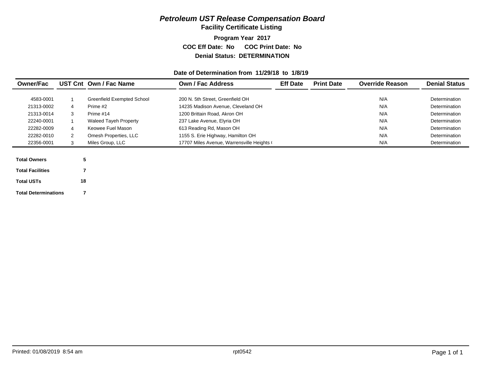**Facility Certificate Listing**

#### **Program Year 2017 COC Eff Date: No COC Print Date: No Denial Status: DETERMINATION**

#### **Date of Determination from 11/29/18 to 1/8/19**

| N/A<br><b>Greenfield Exempted School</b><br>200 N. 5th Street, Greenfield OH<br>4583-0001 | Determination |
|-------------------------------------------------------------------------------------------|---------------|
| N/A<br>14235 Madison Avenue, Cleveland OH<br>21313-0002<br>Prime #2<br>4                  | Determination |
| N/A<br>1200 Brittain Road, Akron OH<br>21313-0014<br>3<br>Prime #14                       | Determination |
| N/A<br>22240-0001<br><b>Waleed Tayeh Property</b><br>237 Lake Avenue, Elyria OH           | Determination |
| N/A<br>613 Reading Rd, Mason OH<br>22282-0009<br>Keowee Fuel Mason<br>4                   | Determination |
| N/A<br>22282-0010<br>1155 S. Erie Highway, Hamilton OH<br>2<br>Omesh Properties, LLC      | Determination |
| N/A<br>22356-0001<br>Miles Group, LLC<br>17707 Miles Avenue, Warrensville Heights (<br>3  | Determination |
|                                                                                           |               |
| 5<br><b>Total Owners</b>                                                                  |               |
| <b>Total Facilities</b>                                                                   |               |
| 18<br><b>Total USTs</b>                                                                   |               |

**Total Determinations**

**7**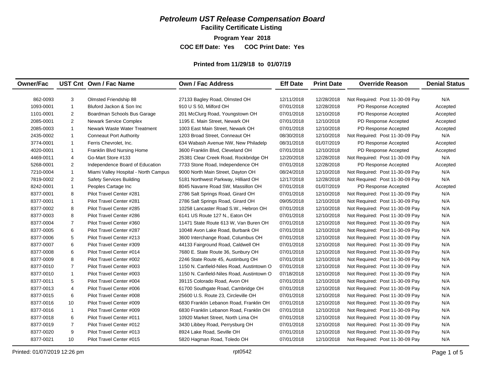**Facility Certificate Listing**

**Program Year 2018 COC Eff Date: Yes COC Print Date: Yes** 

#### **Printed from 11/29/18 to 01/07/19**

| <b>Owner/Fac</b> |                | UST Cnt Own / Fac Name               | <b>Own / Fac Address</b>                  | <b>Eff Date</b> | <b>Print Date</b> | <b>Override Reason</b>          | <b>Denial Status</b> |
|------------------|----------------|--------------------------------------|-------------------------------------------|-----------------|-------------------|---------------------------------|----------------------|
|                  |                |                                      |                                           |                 |                   |                                 |                      |
| 862-0093         | 3              | Olmsted Friendship 88                | 27133 Bagley Road, Olmsted OH             | 12/11/2018      | 12/28/2018        | Not Required: Post 11-30-09 Pay | N/A                  |
| 1093-0001        | $\overline{1}$ | Bluford Jackon & Son Inc             | 910 U S 50, Milford OH                    | 07/01/2018      | 12/28/2018        | PD Response Accepted            | Accepted             |
| 1101-0001        | $\overline{c}$ | Boardman Schools Bus Garage          | 201 McClurg Road, Youngstown OH           | 07/01/2018      | 12/10/2018        | PD Response Accepted            | Accepted             |
| 2085-0001        | 2              | Newark Service Complex               | 1195 E. Main Street, Newark OH            | 07/01/2018      | 12/10/2018        | PD Response Accepted            | Accepted             |
| 2085-0003        | $\overline{1}$ | Newark Waste Water Treatment         | 1003 East Main Street, Newark OH          | 07/01/2018      | 12/10/2018        | PD Response Accepted            | Accepted             |
| 2435-0002        | $\overline{1}$ | <b>Conneaut Port Authority</b>       | 1203 Broad Street, Conneaut OH            | 08/30/2018      | 12/10/2018        | Not Required: Post 11-30-09 Pay | N/A                  |
| 3774-0001        | $\mathbf{1}$   | Ferris Chevrolet, Inc.               | 634 Wabash Avenue NW, New Philadelp       | 08/31/2018      | 01/07/2019        | PD Response Accepted            | Accepted             |
| 4020-0001        | $\mathbf{1}$   | Franklin Blvd Nursing Home           | 3600 Franklin Blvd, Cleveland OH          | 07/01/2018      | 12/10/2018        | PD Response Accepted            | Accepted             |
| 4469-0011        | 4              | Go-Mart Store #133                   | 25381 Clear Creek Road, Rockbridge OH     | 12/20/2018      | 12/28/2018        | Not Required: Post 11-30-09 Pay | N/A                  |
| 5268-0001        | $\overline{2}$ | Independence Board of Education      | 7733 Stone Road, Independence OH          | 07/01/2018      | 12/28/2018        | PD Response Accepted            | Accepted             |
| 7210-0004        | $\mathbf{1}$   | Miami Valley Hospital - North Campus | 9000 North Main Street, Dayton OH         | 08/24/2018      | 12/10/2018        | Not Required: Post 11-30-09 Pay | N/A                  |
| 7819-0002        | $\overline{2}$ | <b>Safety Services Building</b>      | 5181 Northwest Parkway, Hilliard OH       | 12/17/2018      | 12/28/2018        | Not Required: Post 11-30-09 Pay | N/A                  |
| 8242-0001        | $\overline{1}$ | Peoples Cartage Inc                  | 8045 Navarre Road SW, Massillon OH        | 07/01/2018      | 01/07/2019        | PD Response Accepted            | Accepted             |
| 8377-0001        | 8              | Pilot Travel Center #281             | 2786 Salt Springs Road, Girard OH         | 07/01/2018      | 12/10/2018        | Not Required: Post 11-30-09 Pay | N/A                  |
| 8377-0001        | $\overline{1}$ | Pilot Travel Center #281             | 2786 Salt Springs Road, Girard OH         | 09/05/2018      | 12/10/2018        | Not Required: Post 11-30-09 Pay | N/A                  |
| 8377-0002        | 8              | Pilot Travel Center #285             | 10258 Lancaster Road S.W., Hebron OH      | 07/01/2018      | 12/10/2018        | Not Required: Post 11-30-09 Pay | N/A                  |
| 8377-0003        | 8              | Pilot Travel Center #286             | 6141 US Route 127 N., Eaton OH            | 07/01/2018      | 12/10/2018        | Not Required: Post 11-30-09 Pay | N/A                  |
| 8377-0004        | $\overline{7}$ | Pilot Travel Center #360             | 11471 State Route 613 W, Van Buren OH     | 07/01/2018      | 12/10/2018        | Not Required: Post 11-30-09 Pay | N/A                  |
| 8377-0005        | 6              | Pilot Travel Center #287             | 10048 Avon Lake Road, Burbank OH          | 07/01/2018      | 12/10/2018        | Not Required: Post 11-30-09 Pay | N/A                  |
| 8377-0006        | 5              | Pilot Travel Center #213             | 3600 Interchange Road, Columbus OH        | 07/01/2018      | 12/10/2018        | Not Required: Post 11-30-09 Pay | N/A                  |
| 8377-0007        | 6              | Pilot Travel Center #309             | 44133 Fairground Road, Caldwell OH        | 07/01/2018      | 12/10/2018        | Not Required: Post 11-30-09 Pay | N/A                  |
| 8377-0008        | 6              | Pilot Travel Center #014             | 7680 E. State Route 36, Sunbury OH        | 07/01/2018      | 12/10/2018        | Not Required: Post 11-30-09 Pay | N/A                  |
| 8377-0009        | 8              | Pilot Travel Center #002             | 2246 State Route 45, Austinburg OH        | 07/01/2018      | 12/10/2018        | Not Required: Post 11-30-09 Pay | N/A                  |
| 8377-0010        | $\overline{7}$ | Pilot Travel Center #003             | 1150 N. Canfield-Niles Road, Austintown O | 07/01/2018      | 12/10/2018        | Not Required: Post 11-30-09 Pay | N/A                  |
| 8377-0010        | $\overline{1}$ | Pilot Travel Center #003             | 1150 N. Canfield-Niles Road. Austintown O | 07/18/2018      | 12/10/2018        | Not Required: Post 11-30-09 Pay | N/A                  |
| 8377-0011        | 5              | Pilot Travel Center #004             | 39115 Colorado Road, Avon OH              | 07/01/2018      | 12/10/2018        | Not Required: Post 11-30-09 Pay | N/A                  |
| 8377-0013        | 4              | Pilot Travel Center #006             | 61700 Southgate Road, Cambridge OH        | 07/01/2018      | 12/10/2018        | Not Required: Post 11-30-09 Pay | N/A                  |
| 8377-0015        | 6              | Pilot Travel Center #008             | 25600 U.S. Route 23, Circleville OH       | 07/01/2018      | 12/10/2018        | Not Required: Post 11-30-09 Pay | N/A                  |
| 8377-0016        | 10             | Pilot Travel Center #009             | 6830 Franklin Lebanon Road, Franklin OH   | 07/01/2018      | 12/10/2018        | Not Required: Post 11-30-09 Pay | N/A                  |
| 8377-0016        | $\mathbf{1}$   | Pilot Travel Center #009             | 6830 Franklin Lebanon Road, Franklin OH   | 07/01/2018      | 12/10/2018        | Not Required: Post 11-30-09 Pay | N/A                  |
| 8377-0018        | 6              | Pilot Travel Center #011             | 10920 Market Street, North Lima OH        | 07/01/2018      | 12/10/2018        | Not Required: Post 11-30-09 Pay | N/A                  |
| 8377-0019        | $\overline{7}$ | Pilot Travel Center #012             | 3430 Libbey Road, Perrysburg OH           | 07/01/2018      | 12/10/2018        | Not Required: Post 11-30-09 Pay | N/A                  |
| 8377-0020        | 9              | Pilot Travel Center #013             | 8924 Lake Road, Seville OH                | 07/01/2018      | 12/10/2018        | Not Required: Post 11-30-09 Pay | N/A                  |
| 8377-0021        | 10             | Pilot Travel Center #015             | 5820 Hagman Road, Toledo OH               | 07/01/2018      | 12/10/2018        | Not Required: Post 11-30-09 Pay | N/A                  |
|                  |                |                                      |                                           |                 |                   |                                 |                      |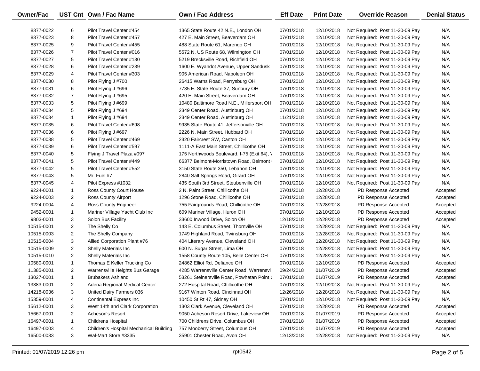| Owner/Fac  |                | UST Cnt Own / Fac Name                  | <b>Own / Fac Address</b>                    | <b>Eff Date</b> | <b>Print Date</b> | <b>Override Reason</b>          | <b>Denial Status</b> |
|------------|----------------|-----------------------------------------|---------------------------------------------|-----------------|-------------------|---------------------------------|----------------------|
| 8377-0022  | 6              | Pilot Travel Center #454                | 1365 State Route 42 N.E., London OH         | 07/01/2018      | 12/10/2018        | Not Required: Post 11-30-09 Pay | N/A                  |
| 8377-0023  | 8              | Pilot Travel Center #457                | 427 E. Main Street, Beaverdam OH            | 07/01/2018      | 12/10/2018        | Not Required: Post 11-30-09 Pay | N/A                  |
| 8377-0025  | 9              | Pilot Travel Center #455                | 488 State Route 61, Marengo OH              | 07/01/2018      | 12/10/2018        | Not Required: Post 11-30-09 Pay | N/A                  |
| 8377-0026  | $\overline{7}$ | Pilot Travel Center #016                | 5572 N. US Route 68, Wilmington OH          | 07/01/2018      | 12/10/2018        | Not Required: Post 11-30-09 Pay | N/A                  |
| 8377-0027  | 5              | Pilot Travel Center #130                | 5219 Brecksville Road, Richfield OH         | 07/01/2018      | 12/10/2018        | Not Required: Post 11-30-09 Pay | N/A                  |
| 8377-0028  | 6              | Pilot Travel Center #239                | 1600 E. Wyandot Avenue, Upper Sandusk       | 07/01/2018      | 12/10/2018        | Not Required: Post 11-30-09 Pay | N/A                  |
| 8377-0029  | 4              | Pilot Travel Center #303                | 905 American Road, Napoleon OH              | 07/01/2018      | 12/10/2018        | Not Required: Post 11-30-09 Pay | N/A                  |
| 8377-0030  | 8              | Pilot Flying J #700                     | 26415 Warns Road, Perrysburg OH             | 07/01/2018      | 12/10/2018        | Not Required: Post 11-30-09 Pay | N/A                  |
| 8377-0031  | 6              | Pilot Flying J #696                     | 7735 E. State Route 37, Sunbury OH          | 07/01/2018      | 12/10/2018        | Not Required: Post 11-30-09 Pay | N/A                  |
| 8377-0032  | $\overline{7}$ | Pilot Flying J #695                     | 420 E. Main Street, Beaverdam OH            | 07/01/2018      | 12/10/2018        | Not Required: Post 11-30-09 Pay | N/A                  |
| 8377-0033  | 5              | Pilot Flying J #699                     | 10480 Baltimore Road N.E., Millersport OH   | 07/01/2018      | 12/10/2018        | Not Required: Post 11-30-09 Pay | N/A                  |
| 8377-0034  | 5              | Pilot Flying J #694                     | 2349 Center Road, Austinburg OH             | 07/01/2018      | 12/10/2018        | Not Required: Post 11-30-09 Pay | N/A                  |
| 8377-0034  | $\mathbf{1}$   | Pilot Flying J #694                     | 2349 Center Road, Austinburg OH             | 11/21/2018      | 12/10/2018        | Not Required: Post 11-30-09 Pay | N/A                  |
| 8377-0035  | 6              | Pilot Travel Center #698                | 9935 State Route 41, Jeffersonville OH      | 07/01/2018      | 12/10/2018        | Not Required: Post 11-30-09 Pay | N/A                  |
| 8377-0036  | 6              | Pilot Flying J #697                     | 2226 N. Main Street, Hubbard OH             | 07/01/2018      | 12/10/2018        | Not Required: Post 11-30-09 Pay | N/A                  |
| 8377-0038  | 5              | Pilot Travel Center #469                | 2320 Faircrest SW, Canton OH                | 07/01/2018      | 12/10/2018        | Not Required: Post 11-30-09 Pay | N/A                  |
| 8377-0039  | 6              | Pilot Travel Center #597                | 1111-A East Main Street, Chillicothe OH     | 07/01/2018      | 12/10/2018        | Not Required: Post 11-30-09 Pay | N/A                  |
| 8377-0040  | 5              | Flying J Travel Plaza #097              | 175 Northwoods Boulevard, I-75 (Exit 64), \ | 07/01/2018      | 12/10/2018        | Not Required: Post 11-30-09 Pay | N/A                  |
| 8377-0041  | 5              | Pilot Travel Center #449                | 66377 Belmont-Morristown Road, Belmont      | 07/01/2018      | 12/10/2018        | Not Required: Post 11-30-09 Pay | N/A                  |
| 8377-0042  | 5              | Pilot Travel Center #552                | 3150 State Route 350, Lebanon OH            | 07/01/2018      | 12/10/2018        | Not Required: Post 11-30-09 Pay | N/A                  |
| 8377-0043  | 5              | Mr. Fuel #7                             | 2840 Salt Springs Road, Girard OH           | 07/01/2018      | 12/10/2018        | Not Required: Post 11-30-09 Pay | N/A                  |
| 8377-0045  | 4              | Pilot Express #1032                     | 435 South 3rd Street, Steubenville OH       | 07/01/2018      | 12/10/2018        | Not Required: Post 11-30-09 Pay | N/A                  |
| 9224-0001  | $\mathbf{1}$   | Ross County Court House                 | 2 N. Paint Street, Chillicothe OH           | 07/01/2018      | 12/28/2018        | PD Response Accepted            | Accepted             |
| 9224-0003  | $\overline{2}$ | <b>Ross County Airport</b>              | 1296 Stone Road, Chillicothe OH             | 07/01/2018      | 12/28/2018        | PD Response Accepted            | Accepted             |
| 9224-0004  | 4              | Ross County Engineer                    | 755 Fairgrounds Road, Chillicothe OH        | 07/01/2018      | 12/28/2018        | PD Response Accepted            | Accepted             |
| 9452-0001  | $\mathbf{1}$   | Mariner Village Yacht Club Inc          | 609 Mariner Village, Huron OH               | 07/01/2018      | 12/10/2018        | PD Response Accepted            | Accepted             |
| 9803-0001  | 3              | Solon Bus Facility                      | 33600 Inwood Drive, Solon OH                | 12/18/2018      | 12/28/2018        | PD Response Accepted            | Accepted             |
| 10515-0001 | $\overline{2}$ | The Shelly Co                           | 143 E. Columbus Street, Thornville OH       | 07/01/2018      | 12/28/2018        | Not Required: Post 11-30-09 Pay | N/A                  |
| 10515-0003 | $\overline{2}$ | The Shelly Company                      | 1749 Highland Road, Twinsburg OH            | 07/01/2018      | 12/28/2018        | Not Required: Post 11-30-09 Pay | N/A                  |
| 10515-0004 | 3              | Allied Corporation Plant #76            | 404 Literary Avenue, Cleveland OH           | 07/01/2018      | 12/28/2018        | Not Required: Post 11-30-09 Pay | N/A                  |
| 10515-0009 | $\overline{2}$ | Shelly Materials Inc                    | 600 N. Sugar Street, Lima OH                | 07/01/2018      | 12/28/2018        | Not Required: Post 11-30-09 Pay | N/A                  |
| 10515-0010 | 2              | Shelly Materials Inc                    | 1558 County Route 105, Belle Center OH      | 07/01/2018      | 12/28/2018        | Not Required: Post 11-30-09 Pay | N/A                  |
| 10580-0001 | $\mathbf{1}$   | Thomas E Keller Trucking Co             | 24862 Elliot Rd, Defiance OH                | 07/01/2018      | 12/10/2018        | PD Response Accepted            | Accepted             |
| 11385-0001 | $\overline{2}$ | Warrensville Heights Bus Garage         | 4285 Warrensville Center Road, Warrensvi    | 09/24/2018      | 01/07/2019        | PD Response Accepted            | Accepted             |
| 13027-0001 | $\mathbf{1}$   | <b>Brubakers Ashland</b>                | 53261 Steinersville Road, Powhatan Point (  | 07/01/2018      | 01/07/2019        | PD Response Accepted            | Accepted             |
| 13383-0001 | 2              | Adena Regional Medical Center           | 272 Hospital Road, Chillicothe OH           | 07/01/2018      | 12/10/2018        | Not Required: Post 11-30-09 Pay | N/A                  |
| 14218-0036 | 3              | United Dairy Farmers 036                | 9167 Winton Road, Cincinnati OH             | 12/26/2018      | 12/28/2018        | Not Required: Post 11-30-09 Pay | N/A                  |
| 15359-0001 | 4              | Continental Express Inc                 | 10450 St Rt 47, Sidney OH                   | 07/01/2018      | 12/10/2018        | Not Required: Post 11-30-09 Pay | N/A                  |
| 15612-0001 | 3              | West 14th and Clark Corporation         | 1303 Clark Avenue, Cleveland OH             | 07/01/2018      | 12/28/2018        | PD Response Accepted            | Accepted             |
| 15667-0001 | 2              | Acheson's Resort                        | 9050 Acheson Resort Drive, Lakeview OH      | 07/01/2018      | 01/07/2019        | PD Response Accepted            | Accepted             |
| 16497-0001 | 1              | <b>Childrens Hospital</b>               | 700 Childrens Drive, Columbus OH            | 07/01/2018      | 01/07/2019        | PD Response Accepted            | Accepted             |
| 16497-0003 | 4              | Children's Hospital Mechanical Building | 757 Mooberry Street, Columbus OH            | 07/01/2018      | 01/07/2019        | PD Response Accepted            | Accepted             |
| 16500-0033 | 3              | Wal-Mart Store #3335                    | 35901 Chester Road, Avon OH                 | 12/13/2018      | 12/28/2018        | Not Required: Post 11-30-09 Pay | N/A                  |

 $\overline{\phantom{0}}$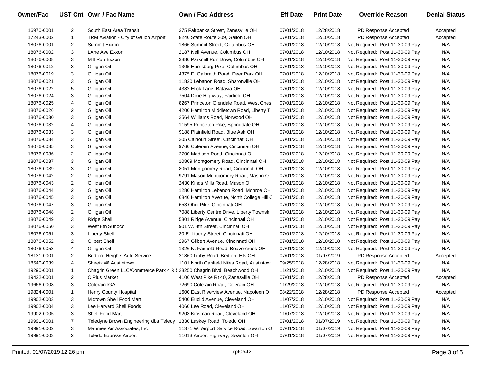| Owner/Fac  |                | UST Cnt Own / Fac Name                                                 | <b>Own / Fac Address</b>                   | <b>Eff Date</b> | <b>Print Date</b> | <b>Override Reason</b>          | <b>Denial Status</b> |
|------------|----------------|------------------------------------------------------------------------|--------------------------------------------|-----------------|-------------------|---------------------------------|----------------------|
| 16970-0001 | 2              | South East Area Transit                                                | 375 Fairbanks Street, Zanesville OH        | 07/01/2018      | 12/28/2018        | PD Response Accepted            | Accepted             |
| 17243-0002 | 1              | TRM Aviation - City of Galion Airport                                  | 8240 State Route 309, Galion OH            | 07/01/2018      | 12/10/2018        | PD Response Accepted            | Accepted             |
| 18076-0001 | 2              | Summit Exxon                                                           | 1866 Summit Street, Columbus OH            | 07/01/2018      | 12/10/2018        | Not Required: Post 11-30-09 Pay | N/A                  |
| 18076-0002 | 3              | LAne Ave Exxon                                                         | 2187 Neil Avenue, Columbus OH              | 07/01/2018      | 12/10/2018        | Not Required: Post 11-30-09 Pay | N/A                  |
| 18076-0008 | 3              | Mill Run Exxon                                                         | 3880 Parkmill Run Drive, Columbus OH       | 07/01/2018      | 12/10/2018        | Not Required: Post 11-30-09 Pay | N/A                  |
| 18076-0012 | 3              | Gilligan Oil                                                           | 1305 Harrisburg Pike, Columbus OH          | 07/01/2018      | 12/10/2018        | Not Required: Post 11-30-09 Pay | N/A                  |
| 18076-0019 | 3              | Gilligan Oil                                                           | 4375 E. Galbraith Road, Deer Park OH       | 07/01/2018      | 12/10/2018        | Not Required: Post 11-30-09 Pay | N/A                  |
| 18076-0021 | 3              | Gilligan Oil                                                           | 11820 Lebanon Road, Sharonville OH         | 07/01/2018      | 12/10/2018        | Not Required: Post 11-30-09 Pay | N/A                  |
| 18076-0022 | 5              | Gilligan Oil                                                           | 4382 Elick Lane, Batavia OH                | 07/01/2018      | 12/10/2018        | Not Required: Post 11-30-09 Pay | N/A                  |
| 18076-0024 | 3              | Gilligan Oil                                                           | 7504 Dixie Highway, Fairfield OH           | 07/01/2018      | 12/10/2018        | Not Required: Post 11-30-09 Pay | N/A                  |
| 18076-0025 | 4              | Gilligan Oil                                                           | 8267 Princeton Glendale Road, West Ches    | 07/01/2018      | 12/10/2018        | Not Required: Post 11-30-09 Pay | N/A                  |
| 18076-0026 | 2              | Gilligan Oil                                                           | 4200 Hamilton Middletown Road, Liberty T   | 07/01/2018      | 12/10/2018        | Not Required: Post 11-30-09 Pay | N/A                  |
| 18076-0030 | 3              | Gilligan Oil                                                           | 2564 Williams Road, Norwood OH             | 07/01/2018      | 12/10/2018        | Not Required: Post 11-30-09 Pay | N/A                  |
| 18076-0032 | 4              | Gilligan Oil                                                           | 11595 Princeton Pike, Springdale OH        | 07/01/2018      | 12/10/2018        | Not Required: Post 11-30-09 Pay | N/A                  |
| 18076-0033 | 3              | Gilligan Oil                                                           | 9188 Plainfield Road, Blue Ash OH          | 07/01/2018      | 12/10/2018        | Not Required: Post 11-30-09 Pay | N/A                  |
| 18076-0034 | 3              | Gilligan Oil                                                           | 205 Calhoun Street, Cincinnati OH          | 07/01/2018      | 12/10/2018        | Not Required: Post 11-30-09 Pay | N/A                  |
| 18076-0035 | 3              | Gilligan Oil                                                           | 9760 Colerain Avenue, Cincinnati OH        | 07/01/2018      | 12/10/2018        | Not Required: Post 11-30-09 Pay | N/A                  |
| 18076-0036 | 2              | Gilligan Oil                                                           | 2700 Madison Road, Cincinnati OH           | 07/01/2018      | 12/10/2018        | Not Required: Post 11-30-09 Pay | N/A                  |
| 18076-0037 | 3              | Gilligan Oil                                                           | 10809 Montgomery Road, Cincinnati OH       | 07/01/2018      | 12/10/2018        | Not Required: Post 11-30-09 Pay | N/A                  |
| 18076-0039 | 3              | Gilligan Oil                                                           | 8051 Montgomery Road, Cincinnati OH        | 07/01/2018      | 12/10/2018        | Not Required: Post 11-30-09 Pay | N/A                  |
| 18076-0042 | 2              | Gilligan Oil                                                           | 9791 Mason Montgomery Road, Mason O        | 07/01/2018      | 12/10/2018        | Not Required: Post 11-30-09 Pay | N/A                  |
| 18076-0043 | 2              | Gilligan Oil                                                           | 2430 Kings Mills Road, Mason OH            | 07/01/2018      | 12/10/2018        | Not Required: Post 11-30-09 Pay | N/A                  |
| 18076-0044 | $\overline{2}$ | Gilligan Oil                                                           | 1280 Hamilton Lebanon Road, Monroe OH      | 07/01/2018      | 12/10/2018        | Not Required: Post 11-30-09 Pay | N/A                  |
| 18076-0045 | 3              | Gilligan Oil                                                           | 6840 Hamilton Avenue, North College Hill C | 07/01/2018      | 12/10/2018        | Not Required: Post 11-30-09 Pay | N/A                  |
| 18076-0047 | 3              | Gilligan Oil                                                           | 653 Ohio Pike, Cincinnati OH               | 07/01/2018      | 12/10/2018        | Not Required: Post 11-30-09 Pay | N/A                  |
| 18076-0048 | 2              | Gilligan Oil                                                           | 7088 Liberty Centre Drive, Liberty Townshi | 07/01/2018      | 12/10/2018        | Not Required: Post 11-30-09 Pay | N/A                  |
| 18076-0049 | 3              | Ridge Shell                                                            | 5301 Ridge Avenue, Cincinnati OH           | 07/01/2018      | 12/10/2018        | Not Required: Post 11-30-09 Pay | N/A                  |
| 18076-0050 | 3              | West 8th Sunoco                                                        | 901 W. 8th Street, Cincinnati OH           | 07/01/2018      | 12/10/2018        | Not Required: Post 11-30-09 Pay | N/A                  |
| 18076-0051 | 3              | <b>Liberty Shell</b>                                                   | 30 E. Liberty Street, Cincinnati OH        | 07/01/2018      | 12/10/2018        | Not Required: Post 11-30-09 Pay | N/A                  |
| 18076-0052 | $\overline{2}$ | <b>Gilbert Shell</b>                                                   | 2967 Gilbert Avenue, Cincinnati OH         | 07/01/2018      | 12/10/2018        | Not Required: Post 11-30-09 Pay | N/A                  |
| 18076-0053 | 4              | Gilligan Oil                                                           | 1326 N. Fairfield Road, Beavercreek OH     | 07/01/2018      | 12/10/2018        | Not Required: Post 11-30-09 Pay | N/A                  |
| 18131-0001 | 2              | <b>Bedford Heights Auto Service</b>                                    | 21860 Libby Road, Bedford Hts OH           | 07/01/2018      | 01/07/2019        | PD Response Accepted            | Accepted             |
| 18540-0039 | 4              | Sheetz #6 Austintown                                                   | 1101 North Canfield Niles Road, Austintow  | 09/25/2018      | 12/28/2018        | Not Required: Post 11-30-09 Pay | N/A                  |
| 19290-0001 | 1              | Chagrin Green LLC/Commerce Park 4 & : 23250 Chagrin Blvd, Beachwood OH |                                            | 11/21/2018      | 12/10/2018        | Not Required: Post 11-30-09 Pay | N/A                  |
| 19422-0001 | $\overline{2}$ | C Plus Market                                                          | 4106 West Pike Rt 40, Zanesville OH        | 07/01/2018      | 12/28/2018        | PD Response Accepted            | Accepted             |
| 19666-0008 | 3              | Colerain IGA                                                           | 72690 Colerain Road, Colerain OH           | 11/29/2018      | 12/10/2018        | Not Required: Post 11-30-09 Pay | N/A                  |
| 19824-0001 | 1              | Henry County Hospital                                                  | 1600 East Riverview Avenue, Napoleon O     | 08/22/2018      | 12/28/2018        | PD Response Accepted            | Accepted             |
| 19902-0003 | 3              | Midtown Shell Food Mart                                                | 5400 Euclid Avenue, Cleveland OH           | 11/07/2018      | 12/10/2018        | Not Required: Post 11-30-09 Pay | N/A                  |
| 19902-0004 | 3              | Lee Harvard Shell Foods                                                | 4060 Lee Road, Cleveland OH                | 11/07/2018      | 12/10/2018        | Not Required: Post 11-30-09 Pay | N/A                  |
| 19902-0005 | 3              | Shell Food Mart                                                        | 9203 Kinsman Road, Cleveland OH            | 11/07/2018      | 12/10/2018        | Not Required: Post 11-30-09 Pay | N/A                  |
| 19991-0001 | $\overline{7}$ | Teledyne Brown Engineering dba Teledy                                  | 1330 Laskey Road, Toledo OH                | 07/01/2018      | 01/07/2019        | Not Required: Post 11-30-09 Pay | N/A                  |
| 19991-0002 | 3              | Maumee Air Associates, Inc.                                            | 11371 W. Airport Service Road, Swanton O   | 07/01/2018      | 01/07/2019        | Not Required: Post 11-30-09 Pay | N/A                  |
| 19991-0003 | $\overline{2}$ | <b>Toledo Express Airport</b>                                          | 11013 Airport Highway, Swanton OH          | 07/01/2018      | 01/07/2019        | Not Required: Post 11-30-09 Pay | N/A                  |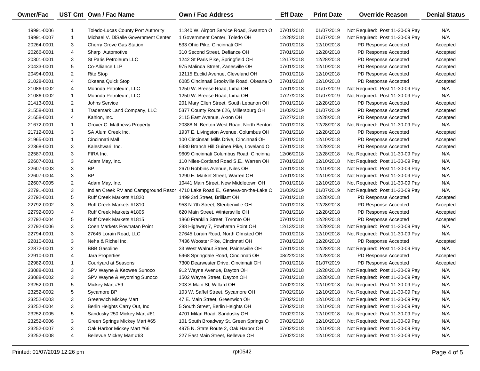| Owner/Fac  |                | UST Cnt Own / Fac Name                    | <b>Own / Fac Address</b>                                                     | <b>Eff Date</b> | <b>Print Date</b> | <b>Override Reason</b>          | <b>Denial Status</b> |
|------------|----------------|-------------------------------------------|------------------------------------------------------------------------------|-----------------|-------------------|---------------------------------|----------------------|
| 19991-0006 | -1             | <b>Toledo-Lucas County Port Authority</b> | 11340 W. Airport Service Road, Swanton O                                     | 07/01/2018      | 01/07/2019        | Not Required: Post 11-30-09 Pay | N/A                  |
| 19991-0007 | $\mathbf{1}$   | Michael V. DiSalle Government Center      | 1 Government Center, Toledo OH                                               | 12/28/2018      | 01/07/2019        | Not Required: Post 11-30-09 Pay | N/A                  |
| 20264-0001 | 3              | Cherry Grove Gas Station                  | 533 Ohio Pike, Cincinnati OH                                                 | 07/01/2018      | 12/10/2018        | PD Response Accepted            | Accepted             |
| 20266-0001 | 4              | Sharp Automotive                          | 310 Second Street, Defiance OH                                               | 07/01/2018      | 12/28/2018        | PD Response Accepted            | Accepted             |
| 20301-0001 | 3              | St Paris Petroleum LLC                    | 1242 St Paris Pike, Springfield OH                                           | 12/17/2018      | 12/28/2018        | PD Response Accepted            | Accepted             |
| 20433-0001 | 5              | Co-Alliance LLP                           | 975 Malinda Street, Zanesville OH                                            | 07/01/2018      | 12/10/2018        | PD Response Accepted            | Accepted             |
| 20494-0001 | $\overline{2}$ | <b>Rite Stop</b>                          | 12115 Euclid Avenue, Cleveland OH                                            | 07/01/2018      | 12/10/2018        | PD Response Accepted            | Accepted             |
| 21028-0001 | 4              | Okeana Quick Stop                         | 6085 Cincinnati Brookville Road, Okeana O                                    | 07/01/2018      | 12/10/2018        | PD Response Accepted            | Accepted             |
| 21086-0002 | 4              | Morinda Petroleum, LLC                    | 1250 W. Breese Road, Lima OH                                                 | 07/01/2018      | 01/07/2019        | Not Required: Post 11-30-09 Pay | N/A                  |
| 21086-0002 | 1              | Morinda Petroleum, LLC                    | 1250 W. Breese Road, Lima OH                                                 | 07/27/2018      | 01/07/2019        | Not Required: Post 11-30-09 Pay | N/A                  |
| 21413-0001 | 2              | Johns Service                             | 201 Mary Ellen Street, South Lebanon OH                                      | 07/01/2018      | 12/28/2018        | PD Response Accepted            | Accepted             |
| 21558-0001 | $\mathbf{1}$   | Trademark Land Company, LLC               | 5377 County Route 626, Millersburg OH                                        | 01/03/2019      | 01/07/2019        | PD Response Accepted            | Accepted             |
| 21658-0001 | 4              | Kahlon, Inc.                              | 2115 East Avenue, Akron OH                                                   | 07/27/2018      | 12/28/2018        | PD Response Accepted            | Accepted             |
| 21672-0001 | 1              | Grover C. Matthews Property               | 20388 N. Benton West Road, North Benton                                      | 07/01/2018      | 12/28/2018        | Not Required: Post 11-30-09 Pay | N/A                  |
| 21712-0001 | 3              | SA Alum Creek Inc.                        | 1937 E. Livingston Avenue, Columbus OH                                       | 07/01/2018      | 12/28/2018        | PD Response Accepted            | Accepted             |
| 21965-0001 | $\mathbf{1}$   | Cincinnati Mall                           | 100 Cincinnati Mills Drive, Cincinnati OH                                    | 07/01/2018      | 12/10/2018        | PD Response Accepted            | Accepted             |
| 22368-0001 | 3              | Kaleshwari, Inc.                          | 6380 Branch Hill Guinea Pike, Loveland O                                     | 07/01/2018      | 12/28/2018        | PD Response Accepted            | Accepted             |
| 22587-0001 | 3              | FIRA Inc.                                 | 9609 Cincinnati Columbus Road, Cincinna                                      | 12/06/2018      | 12/28/2018        | Not Required: Post 11-30-09 Pay | N/A                  |
| 22607-0001 | 3              | Adam May, Inc.                            | 110 Niles-Cortland Road S.E., Warren OH                                      | 07/01/2018      | 12/10/2018        | Not Required: Post 11-30-09 Pay | N/A                  |
| 22607-0003 | 3              | ΒP                                        | 2670 Robbins Avenue, Niles OH                                                | 07/01/2018      | 12/10/2018        | Not Required: Post 11-30-09 Pay | N/A                  |
| 22607-0004 | 3              | <b>BP</b>                                 | 1290 E. Market Street, Warren OH                                             | 07/01/2018      | 12/10/2018        | Not Required: Post 11-30-09 Pay | N/A                  |
| 22607-0005 | $\overline{2}$ | Adam May, Inc.                            | 10441 Main Street, New Middletown OH                                         | 07/01/2018      | 12/10/2018        | Not Required: Post 11-30-09 Pay | N/A                  |
| 22791-0001 | 3              |                                           | Indian Creek RV and Campground Resor 4710 Lake Road E., Geneva-on-the-Lake O | 01/03/2019      | 01/07/2019        | Not Required: Post 11-30-09 Pay | N/A                  |
| 22792-0001 | 5              | Ruff Creek Markets #1820                  | 1499 3rd Street, Brilliant OH                                                | 07/01/2018      | 12/28/2018        | PD Response Accepted            | Accepted             |
| 22792-0002 | 3              | Ruff Creek Markets #1810                  | 953 N 7th Street, Steubenville OH                                            | 07/01/2018      | 12/28/2018        | PD Response Accepted            | Accepted             |
| 22792-0003 | 4              | Ruff Creek Markets #1805                  | 620 Main Street, Wintersville OH                                             | 07/01/2018      | 12/28/2018        | PD Response Accepted            | Accepted             |
| 22792-0004 | 5              | Ruff Creek Markets #1815                  | 1860 Franklin Street, Toronto OH                                             | 07/01/2018      | 12/28/2018        | PD Response Accepted            | Accepted             |
| 22792-0006 | 3              | Coen Markets Powhatan Point               | 288 Highway 7, Powhatan Point OH                                             | 12/13/2018      | 12/28/2018        | Not Required: Post 11-30-09 Pay | N/A                  |
| 22794-0001 | 3              | 27645 Lorain Road, LLC                    | 27645 Lorain Road, North Olmsted OH                                          | 07/01/2018      | 12/10/2018        | Not Required: Post 11-30-09 Pay | N/A                  |
| 22810-0001 | 3              | Neha & Richel Inc.                        | 7436 Wooster Pike, Cincinnati OH                                             | 07/01/2018      | 12/28/2018        | PD Response Accepted            | Accepted             |
| 22872-0001 | $\overline{2}$ | <b>BBB Gasoline</b>                       | 33 West Walnut Street, Painesville OH                                        | 07/01/2018      | 12/28/2018        | Not Required: Post 11-30-09 Pay | N/A                  |
| 22910-0001 | 4              | Jara Properties                           | 5968 Springdale Road, Cincinnati OH                                          | 08/22/2018      | 12/28/2018        | PD Response Accepted            | Accepted             |
| 22982-0001 | $\mathbf{1}$   | <b>Courtyard at Seasons</b>               | 7300 Dearwester Drive, Cincinnati OH                                         | 07/01/2018      | 01/07/2019        | PD Response Accepted            | Accepted             |
| 23088-0001 | 3              | SPV Wayne & Keowee Sunoco                 | 912 Wayne Avenue, Dayton OH                                                  | 07/01/2018      | 12/28/2018        | Not Required: Post 11-30-09 Pay | N/A                  |
| 23088-0002 | 3              | SPV Wayne & Wyoming Sunoco                | 1502 Wayne Street, Dayton OH                                                 | 07/01/2018      | 12/28/2018        | Not Required: Post 11-30-09 Pay | N/A                  |
| 23252-0001 | 5              | Mickey Mart #59                           | 203 S Main St, Willard OH                                                    | 07/02/2018      | 12/10/2018        | Not Required: Post 11-30-09 Pay | N/A                  |
| 23252-0002 | 5              | Sycamore BP                               | 103 W. Saffel Street, Sycamore OH                                            | 07/02/2018      | 12/10/2018        | Not Required: Post 11-30-09 Pay | N/A                  |
| 23252-0003 | 3              | <b>Greenwich Mickey Mart</b>              | 47 E. Main Street, Greenwich OH                                              | 07/02/2018      | 12/10/2018        | Not Required: Post 11-30-09 Pay | N/A                  |
| 23252-0004 | 3              | Berlin Heights Carry Out, Inc             | 5 South Street, Berlin Heights OH                                            | 07/02/2018      | 12/10/2018        | Not Required: Post 11-30-09 Pay | N/A                  |
| 23252-0005 | 5              | Sandusky 250 Mickey Mart #61              | 4701 Milan Road, Sandusky OH                                                 | 07/02/2018      | 12/10/2018        | Not Required: Post 11-30-09 Pay | N/A                  |
| 23252-0006 | 3              | Green Springs Mickey Mart #65             | 101 South Broadway St, Green Springs O                                       | 07/02/2018      | 12/10/2018        | Not Required: Post 11-30-09 Pay | N/A                  |
| 23252-0007 | 3              | Oak Harbor Mickey Mart #66                | 4975 N. State Route 2, Oak Harbor OH                                         | 07/02/2018      | 12/10/2018        | Not Required: Post 11-30-09 Pay | N/A                  |
| 23252-0008 | 4              | Bellevue Mickey Mart #63                  | 227 East Main Street, Bellevue OH                                            | 07/02/2018      | 12/10/2018        | Not Required: Post 11-30-09 Pay | N/A                  |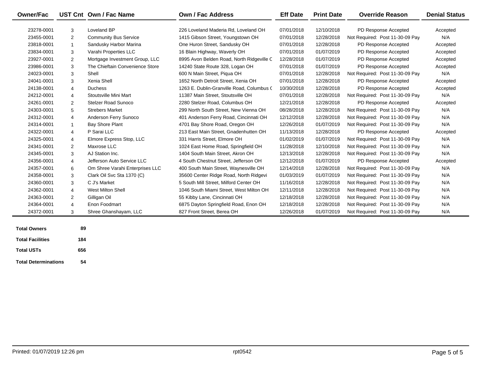| <b>Owner/Fac</b>        |                | UST Cnt Own / Fac Name          | <b>Own / Fac Address</b>                  | <b>Eff Date</b> | <b>Print Date</b> | <b>Override Reason</b>          | <b>Denial Status</b> |
|-------------------------|----------------|---------------------------------|-------------------------------------------|-----------------|-------------------|---------------------------------|----------------------|
| 23278-0001              | 3              | Loveland BP                     | 226 Loveland Maderia Rd. Loveland OH      | 07/01/2018      | 12/10/2018        | PD Response Accepted            | Accepted             |
| 23455-0001              | 2              | <b>Community Bus Service</b>    | 1415 Gibson Street, Youngstown OH         | 07/01/2018      | 12/28/2018        | Not Required: Post 11-30-09 Pay | N/A                  |
| 23818-0001              | $\mathbf{1}$   | Sandusky Harbor Marina          | One Huron Street, Sandusky OH             | 07/01/2018      | 12/28/2018        | PD Response Accepted            | Accepted             |
| 23834-0001              | 3              | Varahi Properties LLC           | 16 Blain Highway, Waverly OH              | 07/01/2018      | 01/07/2019        | PD Response Accepted            | Accepted             |
| 23927-0001              | $\overline{c}$ | Mortgage Investment Group, LLC  | 8995 Avon Belden Road, North Ridgeville C | 12/28/2018      | 01/07/2019        | PD Response Accepted            | Accepted             |
| 23986-0001              | 3              | The Chieftain Convenience Store | 14240 State Route 328, Logan OH           | 07/01/2018      | 01/07/2019        | PD Response Accepted            | Accepted             |
| 24023-0001              | 3              | Shell                           | 600 N Main Street, Piqua OH               | 07/01/2018      | 12/28/2018        | Not Required: Post 11-30-09 Pay | N/A                  |
| 24041-0001              | 3              | Xenia Shell                     | 1652 North Detroit Street, Xenia OH       | 07/01/2018      | 12/28/2018        | PD Response Accepted            | Accepted             |
| 24138-0001              | 4              | <b>Duchess</b>                  | 1263 E. Dublin-Granville Road, Columbus ( | 10/30/2018      | 12/28/2018        | PD Response Accepted            | Accepted             |
| 24212-0001              | 4              | Stoutsville Mini Mart           | 11387 Main Street, Stoutsville OH         | 07/01/2018      | 12/28/2018        | Not Required: Post 11-30-09 Pay | N/A                  |
| 24261-0001              | 2              | <b>Stelzer Road Sunoco</b>      | 2280 Stelzer Road, Columbus OH            | 12/21/2018      | 12/28/2018        | PD Response Accepted            | Accepted             |
| 24303-0001              | 5              | <b>Strebers Market</b>          | 299 North South Street, New Vienna OH     | 08/28/2018      | 12/28/2018        | Not Required: Post 11-30-09 Pay | N/A                  |
| 24312-0001              | 4              | Anderson Ferry Sunoco           | 401 Anderson Ferry Road, Cincinnati OH    | 12/12/2018      | 12/28/2018        | Not Required: Post 11-30-09 Pay | N/A                  |
| 24314-0001              | $\overline{1}$ | Bay Shore Plant                 | 4701 Bay Shore Road, Oregon OH            | 12/26/2018      | 01/07/2019        | Not Required: Post 11-30-09 Pay | N/A                  |
| 24322-0001              | 4              | P Sarai LLC                     | 213 East Main Street, Gnadenhutten OH     | 11/13/2018      | 12/28/2018        | PD Response Accepted            | Accepted             |
| 24325-0001              | 4              | Elmore Express Stop, LLC        | 331 Harris Street, Elmore OH              | 01/02/2019      | 01/07/2019        | Not Required: Post 11-30-09 Pay | N/A                  |
| 24341-0001              | 2              | Maxrose LLC                     | 1024 East Home Road, Springfield OH       | 11/28/2018      | 12/10/2018        | Not Required: Post 11-30-09 Pay | N/A                  |
| 24345-0001              | 3              | AJ Station Inc.                 | 1404 South Main Street, Akron OH          | 12/13/2018      | 12/28/2018        | Not Required: Post 11-30-09 Pay | N/A                  |
| 24356-0001              | 4              | Jefferson Auto Service LLC      | 4 South Chestnut Street, Jefferson OH     | 12/12/2018      | 01/07/2019        | PD Response Accepted            | Accepted             |
| 24357-0001              | 6              | Om Shree Varahi Enterprises LLC | 400 South Main Street, Waynesville OH     | 12/14/2018      | 12/28/2018        | Not Required: Post 11-30-09 Pay | N/A                  |
| 24358-0001              | 3              | Clark Oil Svc Sta 1370 (C)      | 35600 Center Ridge Road, North Ridgevi    | 01/03/2019      | 01/07/2019        | Not Required: Post 11-30-09 Pay | N/A                  |
| 24360-0001              | 3              | C J's Market                    | 5 South Mill Street, Milford Center OH    | 11/16/2018      | 12/28/2018        | Not Required: Post 11-30-09 Pay | N/A                  |
| 24362-0001              | 4              | <b>West Milton Shell</b>        | 1046 South Miami Street, West Milton OH   | 12/11/2018      | 12/28/2018        | Not Required: Post 11-30-09 Pay | N/A                  |
| 24363-0001              | 2              | Gilligan Oil                    | 55 Kibby Lane, Cincinnati OH              | 12/18/2018      | 12/28/2018        | Not Required: Post 11-30-09 Pay | N/A                  |
| 24364-0001              | 4              | Enon Foodmart                   | 6875 Dayton Springfield Road, Enon OH     | 12/18/2018      | 12/28/2018        | Not Required: Post 11-30-09 Pay | N/A                  |
| 24372-0001              | 3              | Shree Ghanshayam, LLC           | 827 Front Street, Berea OH                | 12/26/2018      | 01/07/2019        | Not Required: Post 11-30-09 Pay | N/A                  |
|                         |                |                                 |                                           |                 |                   |                                 |                      |
| <b>Total Owners</b>     | 89             |                                 |                                           |                 |                   |                                 |                      |
| <b>Total Facilities</b> | 184            |                                 |                                           |                 |                   |                                 |                      |
| <b>Total USTs</b>       | 656            |                                 |                                           |                 |                   |                                 |                      |

**Total Determinations54**